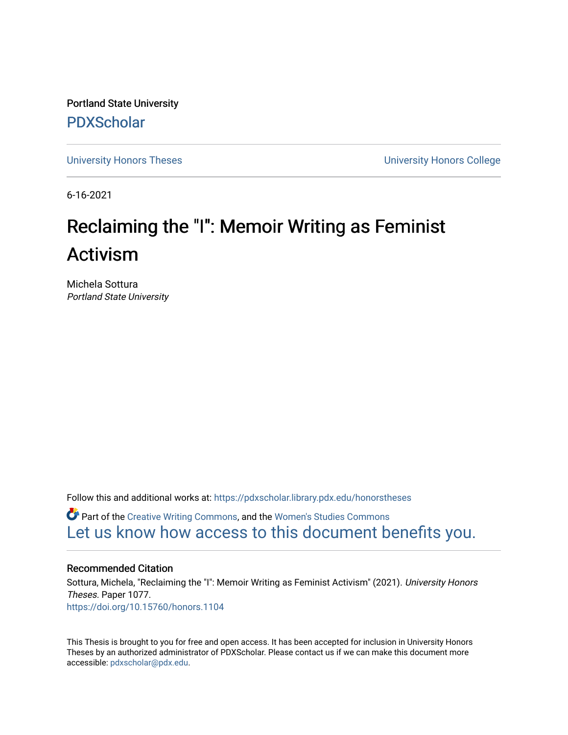Portland State University [PDXScholar](https://pdxscholar.library.pdx.edu/)

[University Honors Theses](https://pdxscholar.library.pdx.edu/honorstheses) [University Honors College](https://pdxscholar.library.pdx.edu/honors) 

6-16-2021

# Reclaiming the "I": Memoir Writing as Feminist Activism

Michela Sottura Portland State University

Follow this and additional works at: [https://pdxscholar.library.pdx.edu/honorstheses](https://pdxscholar.library.pdx.edu/honorstheses?utm_source=pdxscholar.library.pdx.edu%2Fhonorstheses%2F1077&utm_medium=PDF&utm_campaign=PDFCoverPages) 

**C** Part of the [Creative Writing Commons](http://network.bepress.com/hgg/discipline/574?utm_source=pdxscholar.library.pdx.edu%2Fhonorstheses%2F1077&utm_medium=PDF&utm_campaign=PDFCoverPages), and the [Women's Studies Commons](http://network.bepress.com/hgg/discipline/561?utm_source=pdxscholar.library.pdx.edu%2Fhonorstheses%2F1077&utm_medium=PDF&utm_campaign=PDFCoverPages) [Let us know how access to this document benefits you.](http://library.pdx.edu/services/pdxscholar-services/pdxscholar-feedback/) 

#### Recommended Citation

Sottura, Michela, "Reclaiming the "I": Memoir Writing as Feminist Activism" (2021). University Honors Theses. Paper 1077. <https://doi.org/10.15760/honors.1104>

This Thesis is brought to you for free and open access. It has been accepted for inclusion in University Honors Theses by an authorized administrator of PDXScholar. Please contact us if we can make this document more accessible: [pdxscholar@pdx.edu.](mailto:pdxscholar@pdx.edu)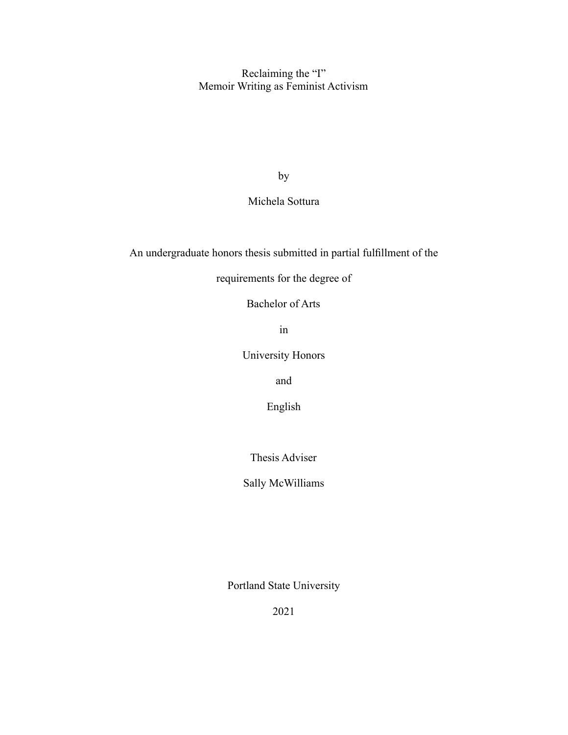Reclaiming the "I" Memoir Writing as Feminist Activism

by

Michela Sottura

An undergraduate honors thesis submitted in partial fulfillment of the

requirements for the degree of

Bachelor of Arts

in

University Honors

and

English

Thesis Adviser

Sally McWilliams

Portland State University

2021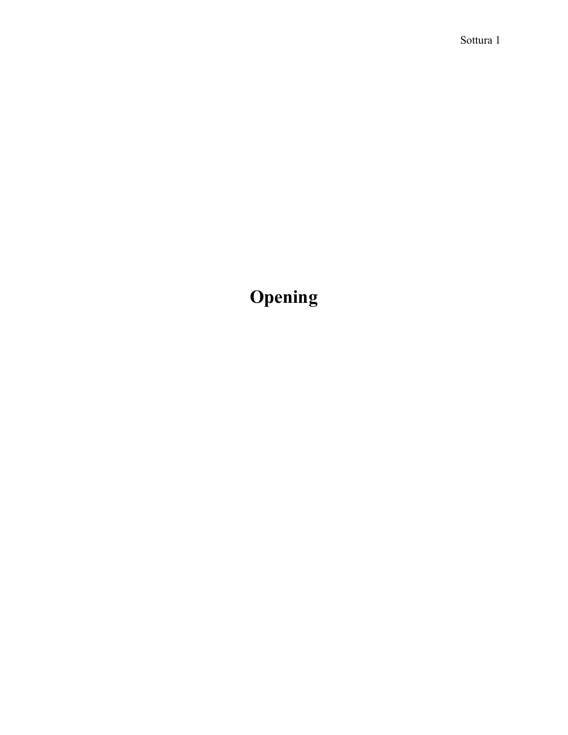# **Opening**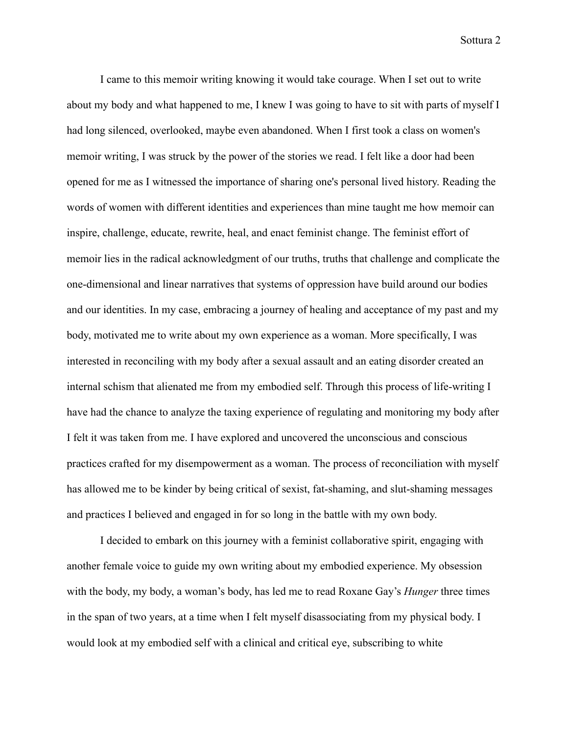I came to this memoir writing knowing it would take courage. When I set out to write about my body and what happened to me, I knew I was going to have to sit with parts of myself I had long silenced, overlooked, maybe even abandoned. When I first took a class on women's memoir writing, I was struck by the power of the stories we read. I felt like a door had been opened for me as I witnessed the importance of sharing one's personal lived history. Reading the words of women with different identities and experiences than mine taught me how memoir can inspire, challenge, educate, rewrite, heal, and enact feminist change. The feminist effort of memoir lies in the radical acknowledgment of our truths, truths that challenge and complicate the one-dimensional and linear narratives that systems of oppression have build around our bodies and our identities. In my case, embracing a journey of healing and acceptance of my past and my body, motivated me to write about my own experience as a woman. More specifically, I was interested in reconciling with my body after a sexual assault and an eating disorder created an internal schism that alienated me from my embodied self. Through this process of life-writing I have had the chance to analyze the taxing experience of regulating and monitoring my body after I felt it was taken from me. I have explored and uncovered the unconscious and conscious practices crafted for my disempowerment as a woman. The process of reconciliation with myself has allowed me to be kinder by being critical of sexist, fat-shaming, and slut-shaming messages and practices I believed and engaged in for so long in the battle with my own body.

I decided to embark on this journey with a feminist collaborative spirit, engaging with another female voice to guide my own writing about my embodied experience. My obsession with the body, my body, a woman's body, has led me to read Roxane Gay's *Hunger* three times in the span of two years, at a time when I felt myself disassociating from my physical body. I would look at my embodied self with a clinical and critical eye, subscribing to white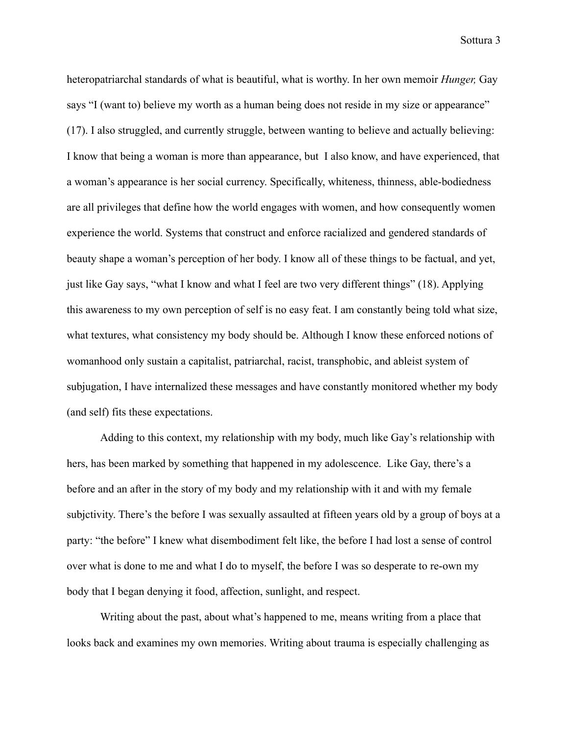heteropatriarchal standards of what is beautiful, what is worthy. In her own memoir *Hunger,* Gay says "I (want to) believe my worth as a human being does not reside in my size or appearance" (17). I also struggled, and currently struggle, between wanting to believe and actually believing: I know that being a woman is more than appearance, but I also know, and have experienced, that a woman's appearance is her social currency. Specifically, whiteness, thinness, able-bodiedness are all privileges that define how the world engages with women, and how consequently women experience the world. Systems that construct and enforce racialized and gendered standards of beauty shape a woman's perception of her body. I know all of these things to be factual, and yet, just like Gay says, "what I know and what I feel are two very different things" (18). Applying this awareness to my own perception of self is no easy feat. I am constantly being told what size, what textures, what consistency my body should be. Although I know these enforced notions of womanhood only sustain a capitalist, patriarchal, racist, transphobic, and ableist system of subjugation, I have internalized these messages and have constantly monitored whether my body (and self) fits these expectations.

Adding to this context, my relationship with my body, much like Gay's relationship with hers, has been marked by something that happened in my adolescence. Like Gay, there's a before and an after in the story of my body and my relationship with it and with my female subjctivity. There's the before I was sexually assaulted at fifteen years old by a group of boys at a party: "the before" I knew what disembodiment felt like, the before I had lost a sense of control over what is done to me and what I do to myself, the before I was so desperate to re-own my body that I began denying it food, affection, sunlight, and respect.

Writing about the past, about what's happened to me, means writing from a place that looks back and examines my own memories. Writing about trauma is especially challenging as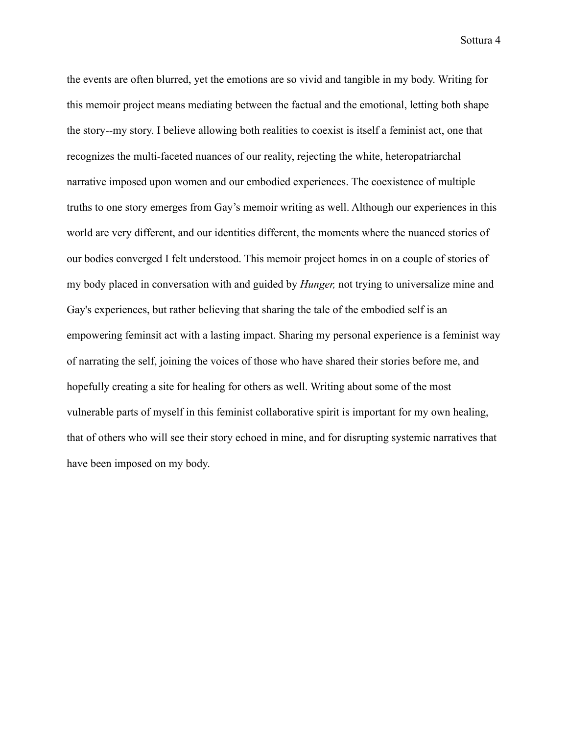the events are often blurred, yet the emotions are so vivid and tangible in my body. Writing for this memoir project means mediating between the factual and the emotional, letting both shape the story--my story. I believe allowing both realities to coexist is itself a feminist act, one that recognizes the multi-faceted nuances of our reality, rejecting the white, heteropatriarchal narrative imposed upon women and our embodied experiences. The coexistence of multiple truths to one story emerges from Gay's memoir writing as well. Although our experiences in this world are very different, and our identities different, the moments where the nuanced stories of our bodies converged I felt understood. This memoir project homes in on a couple of stories of my body placed in conversation with and guided by *Hunger,* not trying to universalize mine and Gay's experiences, but rather believing that sharing the tale of the embodied self is an empowering feminsit act with a lasting impact. Sharing my personal experience is a feminist way of narrating the self, joining the voices of those who have shared their stories before me, and hopefully creating a site for healing for others as well. Writing about some of the most vulnerable parts of myself in this feminist collaborative spirit is important for my own healing, that of others who will see their story echoed in mine, and for disrupting systemic narratives that have been imposed on my body.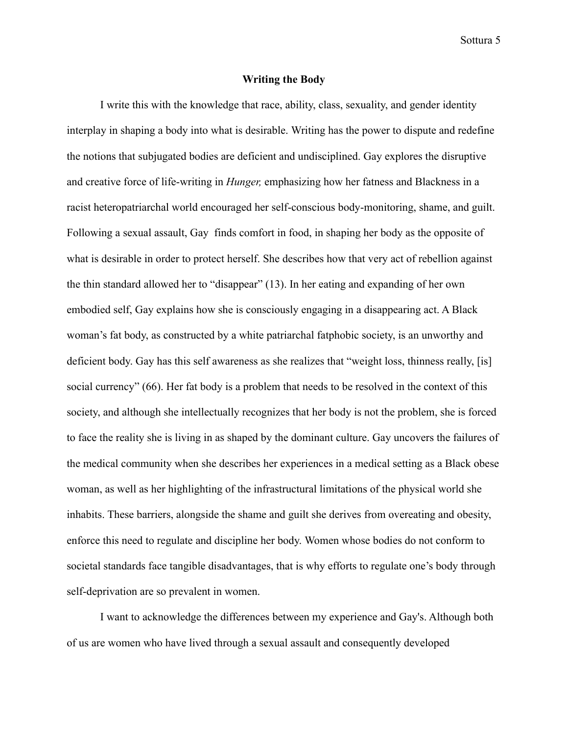#### **Writing the Body**

I write this with the knowledge that race, ability, class, sexuality, and gender identity interplay in shaping a body into what is desirable. Writing has the power to dispute and redefine the notions that subjugated bodies are deficient and undisciplined. Gay explores the disruptive and creative force of life-writing in *Hunger,* emphasizing how her fatness and Blackness in a racist heteropatriarchal world encouraged her self-conscious body-monitoring, shame, and guilt. Following a sexual assault, Gay finds comfort in food, in shaping her body as the opposite of what is desirable in order to protect herself. She describes how that very act of rebellion against the thin standard allowed her to "disappear" (13). In her eating and expanding of her own embodied self, Gay explains how she is consciously engaging in a disappearing act. A Black woman's fat body, as constructed by a white patriarchal fatphobic society, is an unworthy and deficient body. Gay has this self awareness as she realizes that "weight loss, thinness really, [is] social currency" (66). Her fat body is a problem that needs to be resolved in the context of this society, and although she intellectually recognizes that her body is not the problem, she is forced to face the reality she is living in as shaped by the dominant culture. Gay uncovers the failures of the medical community when she describes her experiences in a medical setting as a Black obese woman, as well as her highlighting of the infrastructural limitations of the physical world she inhabits. These barriers, alongside the shame and guilt she derives from overeating and obesity, enforce this need to regulate and discipline her body. Women whose bodies do not conform to societal standards face tangible disadvantages, that is why efforts to regulate one's body through self-deprivation are so prevalent in women.

I want to acknowledge the differences between my experience and Gay's. Although both of us are women who have lived through a sexual assault and consequently developed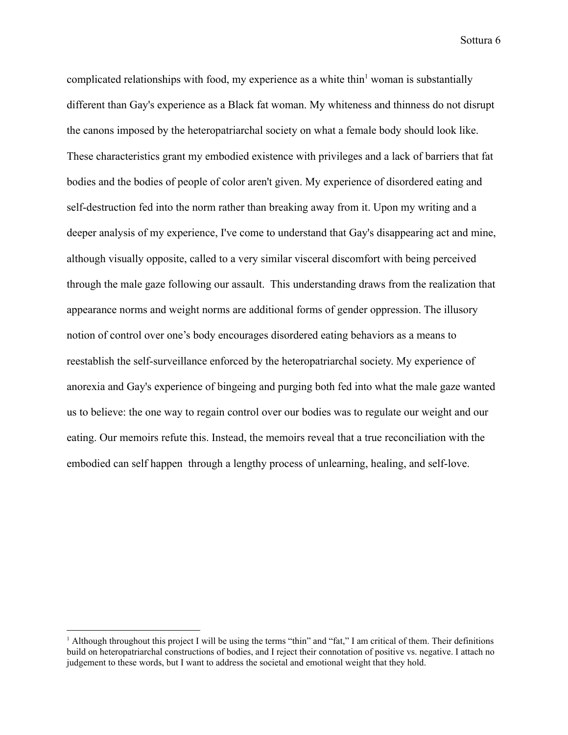complicated relationships with food, my experience as a white thin<sup>1</sup> woman is substantially different than Gay's experience as a Black fat woman. My whiteness and thinness do not disrupt the canons imposed by the heteropatriarchal society on what a female body should look like. These characteristics grant my embodied existence with privileges and a lack of barriers that fat bodies and the bodies of people of color aren't given. My experience of disordered eating and self-destruction fed into the norm rather than breaking away from it. Upon my writing and a deeper analysis of my experience, I've come to understand that Gay's disappearing act and mine, although visually opposite, called to a very similar visceral discomfort with being perceived through the male gaze following our assault. This understanding draws from the realization that appearance norms and weight norms are additional forms of gender oppression. The illusory notion of control over one's body encourages disordered eating behaviors as a means to reestablish the self-surveillance enforced by the heteropatriarchal society. My experience of anorexia and Gay's experience of bingeing and purging both fed into what the male gaze wanted us to believe: the one way to regain control over our bodies was to regulate our weight and our eating. Our memoirs refute this. Instead, the memoirs reveal that a true reconciliation with the embodied can self happen through a lengthy process of unlearning, healing, and self-love.

<sup>&</sup>lt;sup>1</sup> Although throughout this project I will be using the terms "thin" and "fat," I am critical of them. Their definitions build on heteropatriarchal constructions of bodies, and I reject their connotation of positive vs. negative. I attach no judgement to these words, but I want to address the societal and emotional weight that they hold.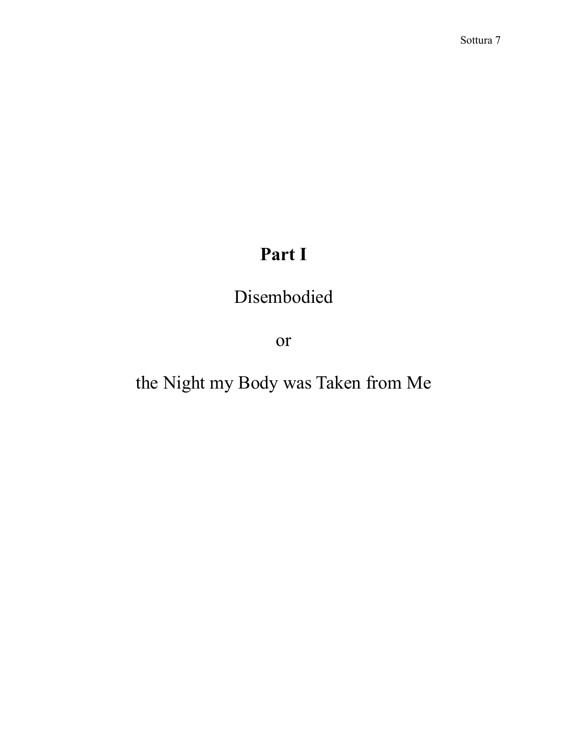# **Part I**

## Disembodied

or

# the Night my Body was Taken from Me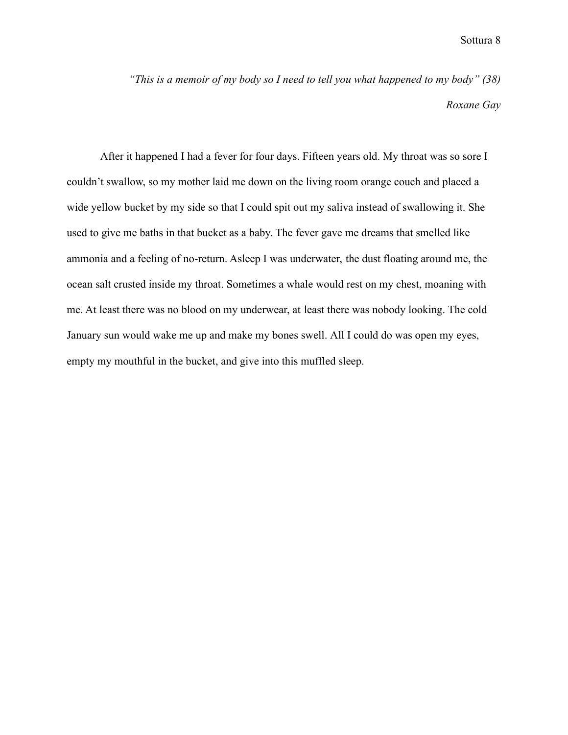*"This is a memoir of my body so I need to tell you what happened to my body" (38) Roxane Gay*

After it happened I had a fever for four days. Fifteen years old. My throat was so sore I couldn't swallow, so my mother laid me down on the living room orange couch and placed a wide yellow bucket by my side so that I could spit out my saliva instead of swallowing it. She used to give me baths in that bucket as a baby. The fever gave me dreams that smelled like ammonia and a feeling of no-return. Asleep I was underwater, the dust floating around me, the ocean salt crusted inside my throat. Sometimes a whale would rest on my chest, moaning with me. At least there was no blood on my underwear, at least there was nobody looking. The cold January sun would wake me up and make my bones swell. All I could do was open my eyes, empty my mouthful in the bucket, and give into this muffled sleep.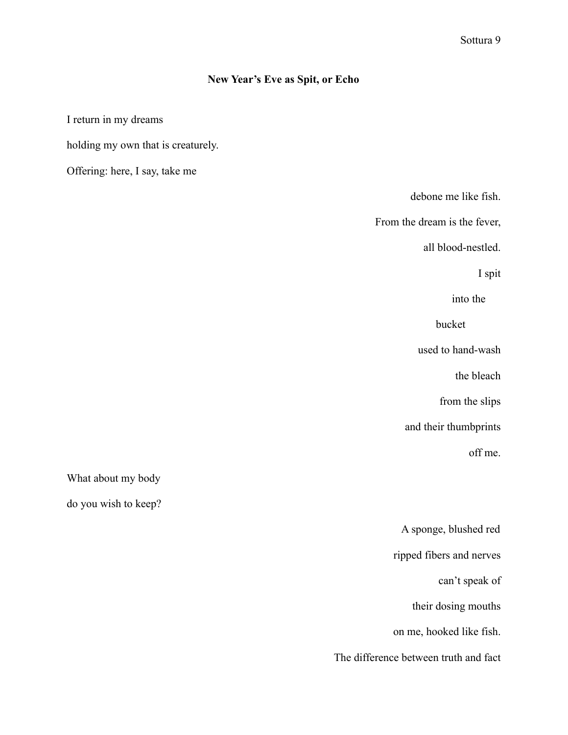## **New Year's Eve as Spit, or Echo**

I return in my dreams

holding my own that is creaturely.

Offering: here, I say, take me

debone me like fish.

From the dream is the fever,

all blood-nestled.

I spit

into the

bucket

used to hand-wash

the bleach

from the slips

and their thumbprints

off me.

What about my body

do you wish to keep?

| A sponge, blushed red                 |
|---------------------------------------|
| ripped fibers and nerves              |
| can't speak of                        |
| their dosing mouths                   |
| on me, hooked like fish.              |
| The difference between truth and fact |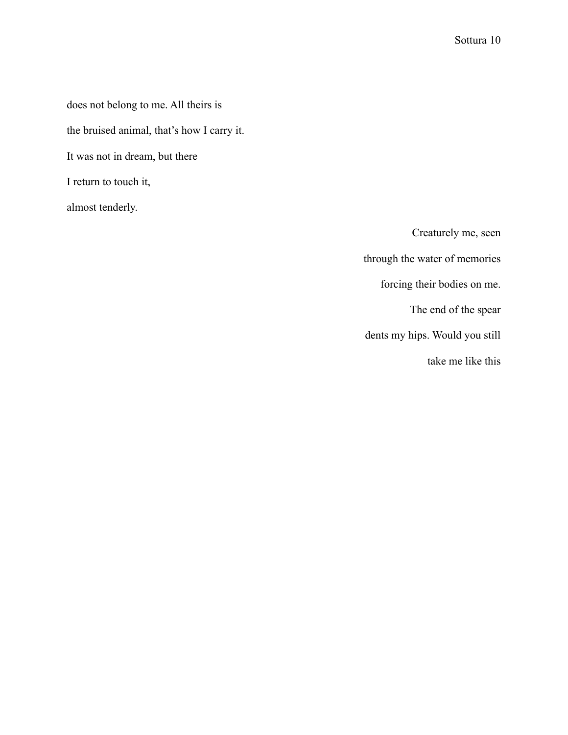does not belong to me. All theirs is

the bruised animal, that's how I carry it.

It was not in dream, but there

I return to touch it,

almost tenderly.

Creaturely me, seen through the water of memories forcing their bodies on me. The end of the spear dents my hips. Would you still take me like this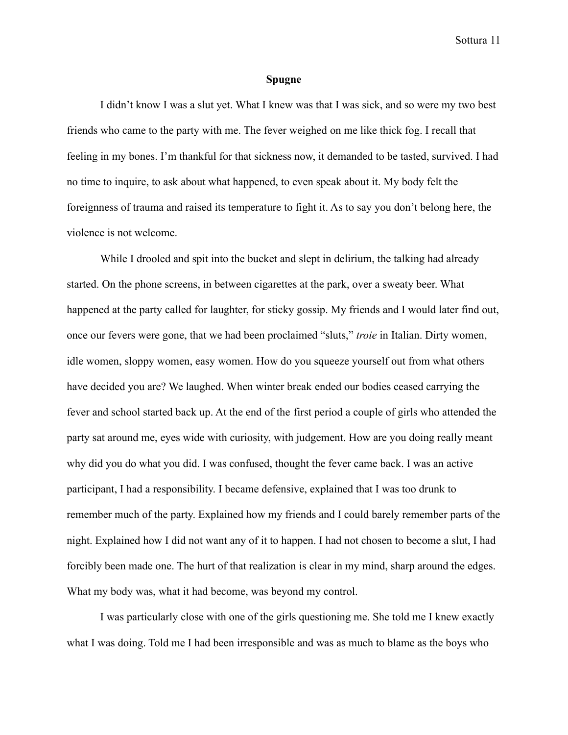#### **Spugne**

I didn't know I was a slut yet. What I knew was that I was sick, and so were my two best friends who came to the party with me. The fever weighed on me like thick fog. I recall that feeling in my bones. I'm thankful for that sickness now, it demanded to be tasted, survived. I had no time to inquire, to ask about what happened, to even speak about it. My body felt the foreignness of trauma and raised its temperature to fight it. As to say you don't belong here, the violence is not welcome.

While I drooled and spit into the bucket and slept in delirium, the talking had already started. On the phone screens, in between cigarettes at the park, over a sweaty beer. What happened at the party called for laughter, for sticky gossip. My friends and I would later find out, once our fevers were gone, that we had been proclaimed "sluts," *troie* in Italian. Dirty women, idle women, sloppy women, easy women. How do you squeeze yourself out from what others have decided you are? We laughed. When winter break ended our bodies ceased carrying the fever and school started back up. At the end of the first period a couple of girls who attended the party sat around me, eyes wide with curiosity, with judgement. How are you doing really meant why did you do what you did. I was confused, thought the fever came back. I was an active participant, I had a responsibility. I became defensive, explained that I was too drunk to remember much of the party. Explained how my friends and I could barely remember parts of the night. Explained how I did not want any of it to happen. I had not chosen to become a slut, I had forcibly been made one. The hurt of that realization is clear in my mind, sharp around the edges. What my body was, what it had become, was beyond my control.

I was particularly close with one of the girls questioning me. She told me I knew exactly what I was doing. Told me I had been irresponsible and was as much to blame as the boys who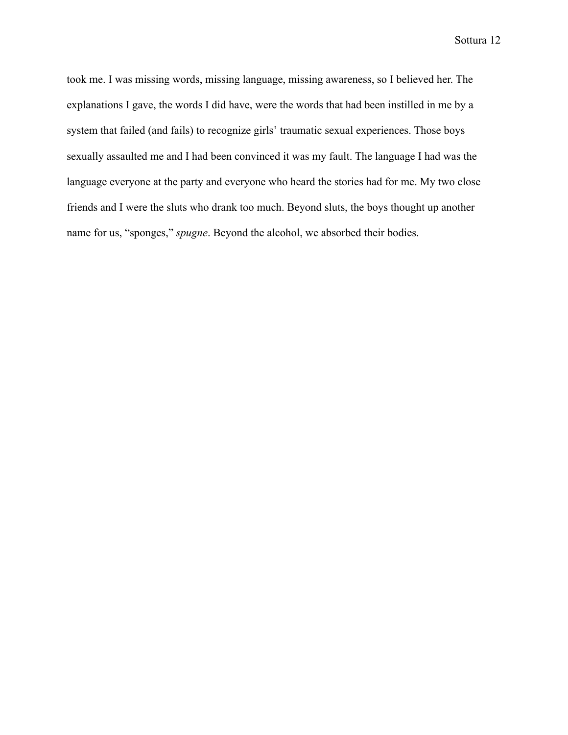took me. I was missing words, missing language, missing awareness, so I believed her. The explanations I gave, the words I did have, were the words that had been instilled in me by a system that failed (and fails) to recognize girls' traumatic sexual experiences. Those boys sexually assaulted me and I had been convinced it was my fault. The language I had was the language everyone at the party and everyone who heard the stories had for me. My two close friends and I were the sluts who drank too much. Beyond sluts, the boys thought up another name for us, "sponges," *spugne*. Beyond the alcohol, we absorbed their bodies.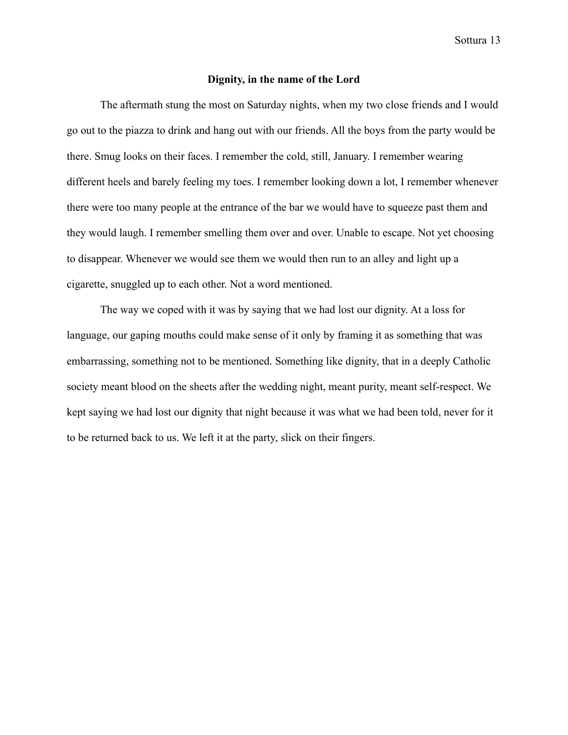#### **Dignity, in the name of the Lord**

The aftermath stung the most on Saturday nights, when my two close friends and I would go out to the piazza to drink and hang out with our friends. All the boys from the party would be there. Smug looks on their faces. I remember the cold, still, January. I remember wearing different heels and barely feeling my toes. I remember looking down a lot, I remember whenever there were too many people at the entrance of the bar we would have to squeeze past them and they would laugh. I remember smelling them over and over. Unable to escape. Not yet choosing to disappear. Whenever we would see them we would then run to an alley and light up a cigarette, snuggled up to each other. Not a word mentioned.

The way we coped with it was by saying that we had lost our dignity. At a loss for language, our gaping mouths could make sense of it only by framing it as something that was embarrassing, something not to be mentioned. Something like dignity, that in a deeply Catholic society meant blood on the sheets after the wedding night, meant purity, meant self-respect. We kept saying we had lost our dignity that night because it was what we had been told, never for it to be returned back to us. We left it at the party, slick on their fingers.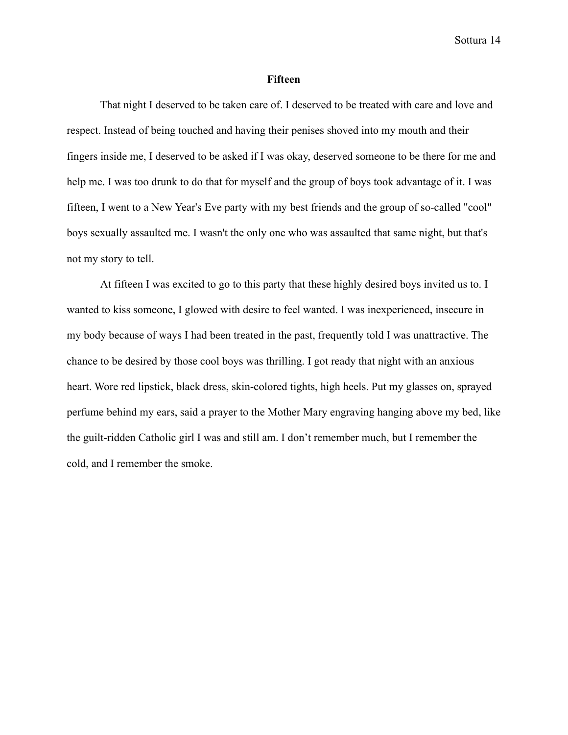#### **Fifteen**

That night I deserved to be taken care of. I deserved to be treated with care and love and respect. Instead of being touched and having their penises shoved into my mouth and their fingers inside me, I deserved to be asked if I was okay, deserved someone to be there for me and help me. I was too drunk to do that for myself and the group of boys took advantage of it. I was fifteen, I went to a New Year's Eve party with my best friends and the group of so-called "cool" boys sexually assaulted me. I wasn't the only one who was assaulted that same night, but that's not my story to tell.

At fifteen I was excited to go to this party that these highly desired boys invited us to. I wanted to kiss someone, I glowed with desire to feel wanted. I was inexperienced, insecure in my body because of ways I had been treated in the past, frequently told I was unattractive. The chance to be desired by those cool boys was thrilling. I got ready that night with an anxious heart. Wore red lipstick, black dress, skin-colored tights, high heels. Put my glasses on, sprayed perfume behind my ears, said a prayer to the Mother Mary engraving hanging above my bed, like the guilt-ridden Catholic girl I was and still am. I don't remember much, but I remember the cold, and I remember the smoke.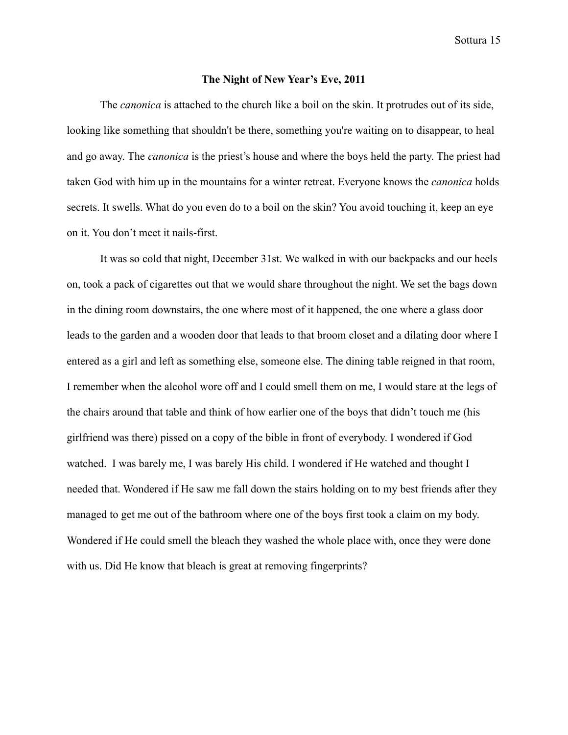#### **The Night of New Year's Eve, 2011**

The *canonica* is attached to the church like a boil on the skin. It protrudes out of its side, looking like something that shouldn't be there, something you're waiting on to disappear, to heal and go away. The *canonica* is the priest's house and where the boys held the party. The priest had taken God with him up in the mountains for a winter retreat. Everyone knows the *canonica* holds secrets. It swells. What do you even do to a boil on the skin? You avoid touching it, keep an eye on it. You don't meet it nails-first.

It was so cold that night, December 31st. We walked in with our backpacks and our heels on, took a pack of cigarettes out that we would share throughout the night. We set the bags down in the dining room downstairs, the one where most of it happened, the one where a glass door leads to the garden and a wooden door that leads to that broom closet and a dilating door where I entered as a girl and left as something else, someone else. The dining table reigned in that room, I remember when the alcohol wore off and I could smell them on me, I would stare at the legs of the chairs around that table and think of how earlier one of the boys that didn't touch me (his girlfriend was there) pissed on a copy of the bible in front of everybody. I wondered if God watched. I was barely me, I was barely His child. I wondered if He watched and thought I needed that. Wondered if He saw me fall down the stairs holding on to my best friends after they managed to get me out of the bathroom where one of the boys first took a claim on my body. Wondered if He could smell the bleach they washed the whole place with, once they were done with us. Did He know that bleach is great at removing fingerprints?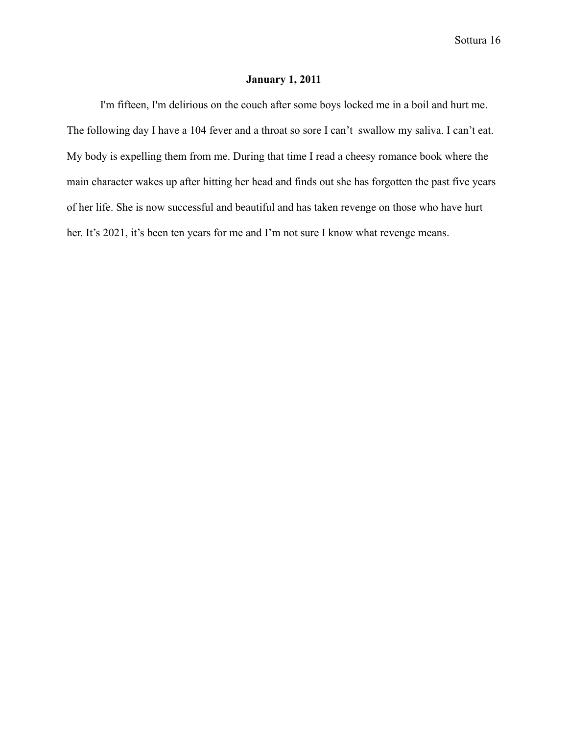### **January 1, 2011**

I'm fifteen, I'm delirious on the couch after some boys locked me in a boil and hurt me. The following day I have a 104 fever and a throat so sore I can't swallow my saliva. I can't eat. My body is expelling them from me. During that time I read a cheesy romance book where the main character wakes up after hitting her head and finds out she has forgotten the past five years of her life. She is now successful and beautiful and has taken revenge on those who have hurt her. It's 2021, it's been ten years for me and I'm not sure I know what revenge means.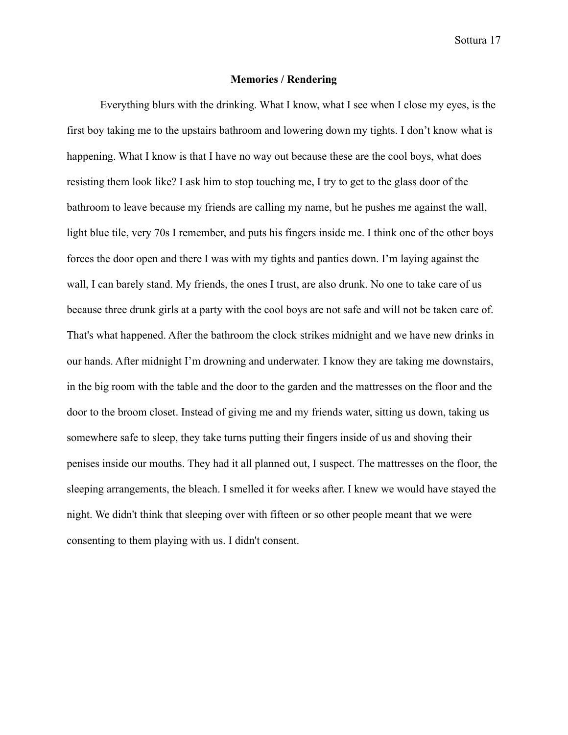#### **Memories / Rendering**

Everything blurs with the drinking. What I know, what I see when I close my eyes, is the first boy taking me to the upstairs bathroom and lowering down my tights. I don't know what is happening. What I know is that I have no way out because these are the cool boys, what does resisting them look like? I ask him to stop touching me, I try to get to the glass door of the bathroom to leave because my friends are calling my name, but he pushes me against the wall, light blue tile, very 70s I remember, and puts his fingers inside me. I think one of the other boys forces the door open and there I was with my tights and panties down. I'm laying against the wall, I can barely stand. My friends, the ones I trust, are also drunk. No one to take care of us because three drunk girls at a party with the cool boys are not safe and will not be taken care of. That's what happened. After the bathroom the clock strikes midnight and we have new drinks in our hands. After midnight I'm drowning and underwater. I know they are taking me downstairs, in the big room with the table and the door to the garden and the mattresses on the floor and the door to the broom closet. Instead of giving me and my friends water, sitting us down, taking us somewhere safe to sleep, they take turns putting their fingers inside of us and shoving their penises inside our mouths. They had it all planned out, I suspect. The mattresses on the floor, the sleeping arrangements, the bleach. I smelled it for weeks after. I knew we would have stayed the night. We didn't think that sleeping over with fifteen or so other people meant that we were consenting to them playing with us. I didn't consent.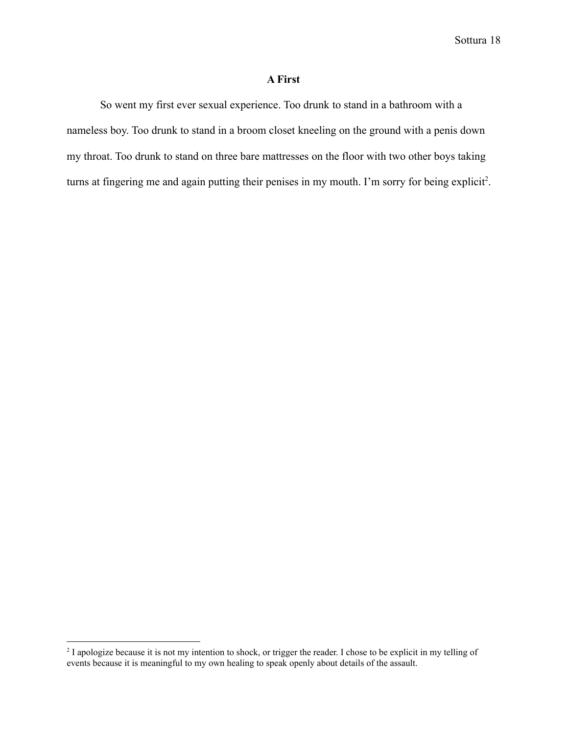#### **A First**

So went my first ever sexual experience. Too drunk to stand in a bathroom with a nameless boy. Too drunk to stand in a broom closet kneeling on the ground with a penis down my throat. Too drunk to stand on three bare mattresses on the floor with two other boys taking turns at fingering me and again putting their penises in my mouth. I'm sorry for being explicit<sup>2</sup>.

<sup>&</sup>lt;sup>2</sup> I apologize because it is not my intention to shock, or trigger the reader. I chose to be explicit in my telling of events because it is meaningful to my own healing to speak openly about details of the assault.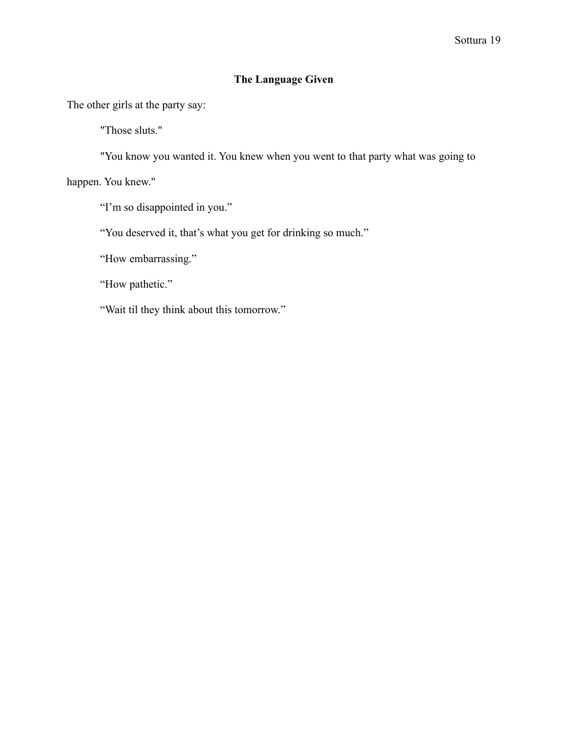## **The Language Given**

The other girls at the party say:

"Those sluts."

"You know you wanted it. You knew when you went to that party what was going to

happen. You knew."

"I'm so disappointed in you."

"You deserved it, that's what you get for drinking so much."

"How embarrassing."

"How pathetic."

"Wait til they think about this tomorrow."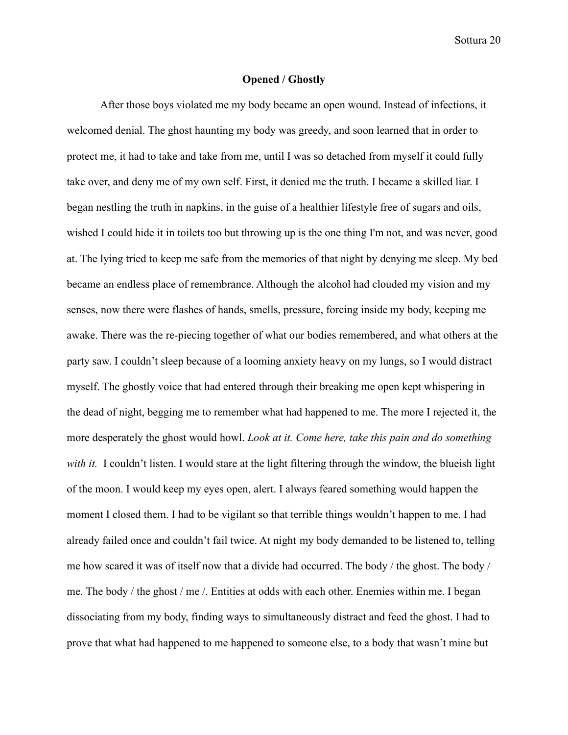#### **Opened / Ghostly**

After those boys violated me my body became an open wound. Instead of infections, it welcomed denial. The ghost haunting my body was greedy, and soon learned that in order to protect me, it had to take and take from me, until I was so detached from myself it could fully take over, and deny me of my own self. First, it denied me the truth. I became a skilled liar. I began nestling the truth in napkins, in the guise of a healthier lifestyle free of sugars and oils, wished I could hide it in toilets too but throwing up is the one thing I'm not, and was never, good at. The lying tried to keep me safe from the memories of that night by denying me sleep. My bed became an endless place of remembrance. Although the alcohol had clouded my vision and my senses, now there were flashes of hands, smells, pressure, forcing inside my body, keeping me awake. There was the re-piecing together of what our bodies remembered, and what others at the party saw. I couldn't sleep because of a looming anxiety heavy on my lungs, so I would distract myself. The ghostly voice that had entered through their breaking me open kept whispering in the dead of night, begging me to remember what had happened to me. The more I rejected it, the more desperately the ghost would howl. *Look at it. Come here, take this pain and do something with it.* I couldn't listen. I would stare at the light filtering through the window, the blueish light of the moon. I would keep my eyes open, alert. I always feared something would happen the moment I closed them. I had to be vigilant so that terrible things wouldn't happen to me. I had already failed once and couldn't fail twice. At night my body demanded to be listened to, telling me how scared it was of itself now that a divide had occurred. The body / the ghost. The body / me. The body / the ghost / me /. Entities at odds with each other. Enemies within me. I began dissociating from my body, finding ways to simultaneously distract and feed the ghost. I had to prove that what had happened to me happened to someone else, to a body that wasn't mine but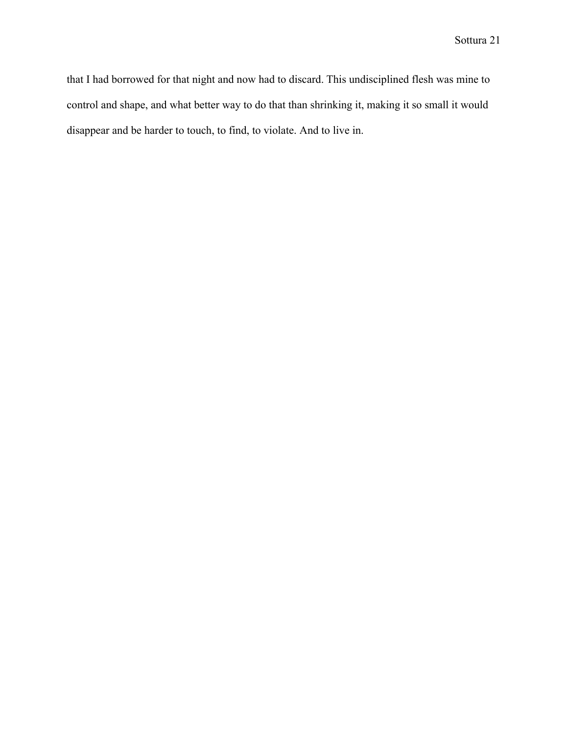that I had borrowed for that night and now had to discard. This undisciplined flesh was mine to control and shape, and what better way to do that than shrinking it, making it so small it would disappear and be harder to touch, to find, to violate. And to live in.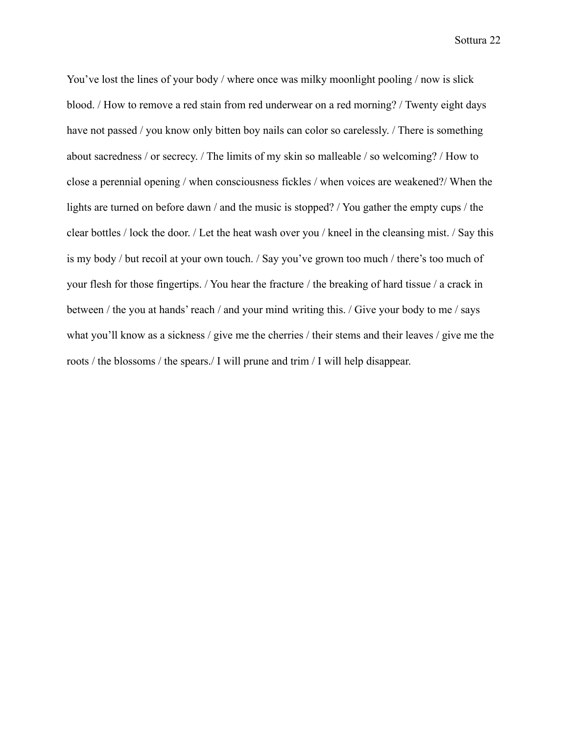You've lost the lines of your body / where once was milky moonlight pooling / now is slick blood. / How to remove a red stain from red underwear on a red morning? / Twenty eight days have not passed / you know only bitten boy nails can color so carelessly. / There is something about sacredness / or secrecy. / The limits of my skin so malleable / so welcoming? / How to close a perennial opening / when consciousness fickles / when voices are weakened?/ When the lights are turned on before dawn / and the music is stopped? / You gather the empty cups / the clear bottles / lock the door. / Let the heat wash over you / kneel in the cleansing mist. / Say this is my body / but recoil at your own touch. / Say you've grown too much / there's too much of your flesh for those fingertips. / You hear the fracture / the breaking of hard tissue / a crack in between / the you at hands' reach / and your mind writing this. / Give your body to me / says what you'll know as a sickness / give me the cherries / their stems and their leaves / give me the roots / the blossoms / the spears./ I will prune and trim / I will help disappear.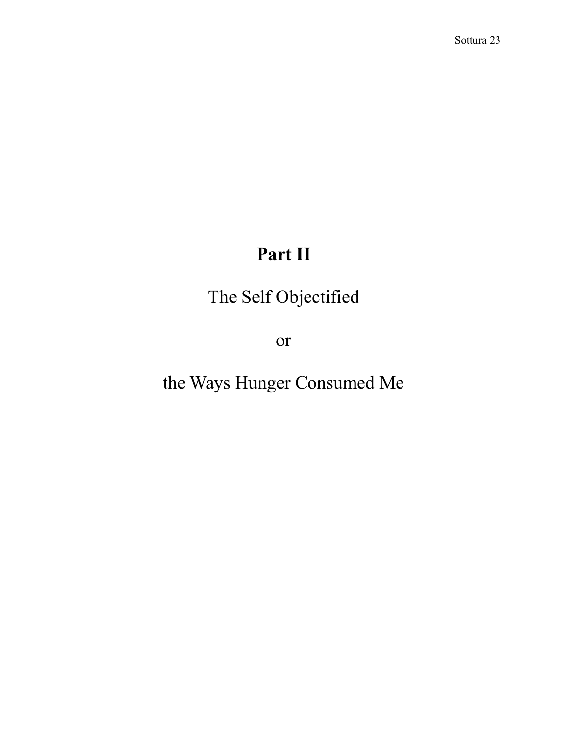## **Part II**

The Self Objectified

or

the Ways Hunger Consumed Me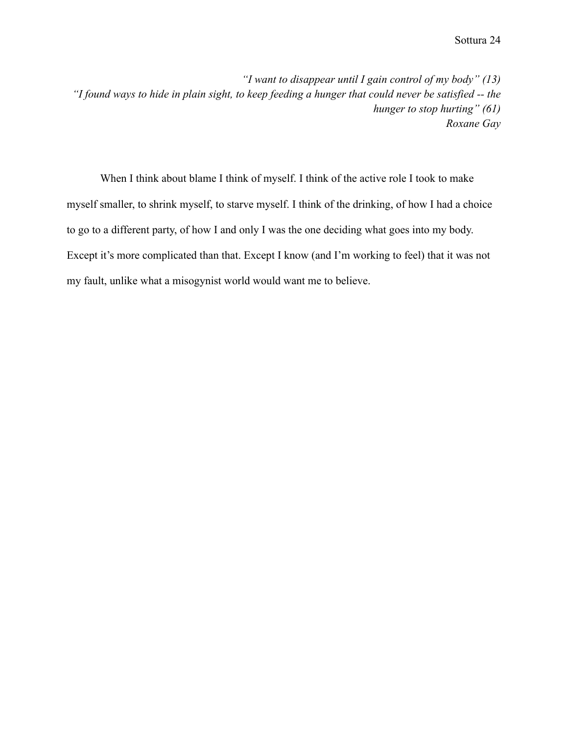*"I want to disappear until I gain control of my body" (13) "I found ways to hide in plain sight, to keep feeding a hunger that could never be satisfied -- the hunger to stop hurting" (61) Roxane Gay*

When I think about blame I think of myself. I think of the active role I took to make myself smaller, to shrink myself, to starve myself. I think of the drinking, of how I had a choice to go to a different party, of how I and only I was the one deciding what goes into my body. Except it's more complicated than that. Except I know (and I'm working to feel) that it was not my fault, unlike what a misogynist world would want me to believe.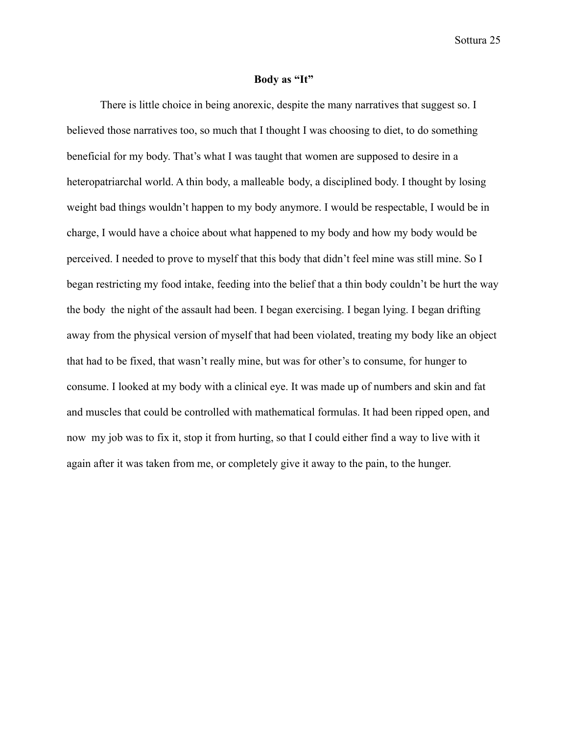#### **Body as "It"**

There is little choice in being anorexic, despite the many narratives that suggest so. I believed those narratives too, so much that I thought I was choosing to diet, to do something beneficial for my body. That's what I was taught that women are supposed to desire in a heteropatriarchal world. A thin body, a malleable body, a disciplined body. I thought by losing weight bad things wouldn't happen to my body anymore. I would be respectable, I would be in charge, I would have a choice about what happened to my body and how my body would be perceived. I needed to prove to myself that this body that didn't feel mine was still mine. So I began restricting my food intake, feeding into the belief that a thin body couldn't be hurt the way the body the night of the assault had been. I began exercising. I began lying. I began drifting away from the physical version of myself that had been violated, treating my body like an object that had to be fixed, that wasn't really mine, but was for other's to consume, for hunger to consume. I looked at my body with a clinical eye. It was made up of numbers and skin and fat and muscles that could be controlled with mathematical formulas. It had been ripped open, and now my job was to fix it, stop it from hurting, so that I could either find a way to live with it again after it was taken from me, or completely give it away to the pain, to the hunger.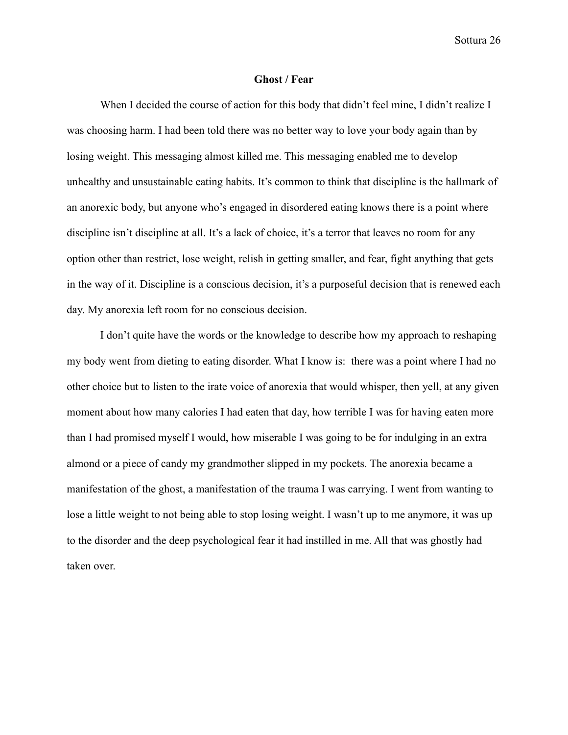#### **Ghost / Fear**

When I decided the course of action for this body that didn't feel mine, I didn't realize I was choosing harm. I had been told there was no better way to love your body again than by losing weight. This messaging almost killed me. This messaging enabled me to develop unhealthy and unsustainable eating habits. It's common to think that discipline is the hallmark of an anorexic body, but anyone who's engaged in disordered eating knows there is a point where discipline isn't discipline at all. It's a lack of choice, it's a terror that leaves no room for any option other than restrict, lose weight, relish in getting smaller, and fear, fight anything that gets in the way of it. Discipline is a conscious decision, it's a purposeful decision that is renewed each day. My anorexia left room for no conscious decision.

I don't quite have the words or the knowledge to describe how my approach to reshaping my body went from dieting to eating disorder. What I know is: there was a point where I had no other choice but to listen to the irate voice of anorexia that would whisper, then yell, at any given moment about how many calories I had eaten that day, how terrible I was for having eaten more than I had promised myself I would, how miserable I was going to be for indulging in an extra almond or a piece of candy my grandmother slipped in my pockets. The anorexia became a manifestation of the ghost, a manifestation of the trauma I was carrying. I went from wanting to lose a little weight to not being able to stop losing weight. I wasn't up to me anymore, it was up to the disorder and the deep psychological fear it had instilled in me. All that was ghostly had taken over.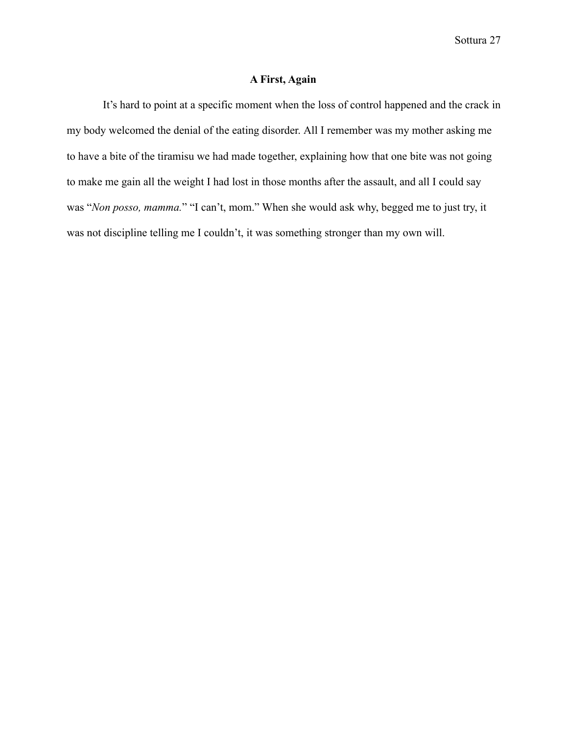### **A First, Again**

It's hard to point at a specific moment when the loss of control happened and the crack in my body welcomed the denial of the eating disorder. All I remember was my mother asking me to have a bite of the tiramisu we had made together, explaining how that one bite was not going to make me gain all the weight I had lost in those months after the assault, and all I could say was "*Non posso, mamma.*" "I can't, mom." When she would ask why, begged me to just try, it was not discipline telling me I couldn't, it was something stronger than my own will.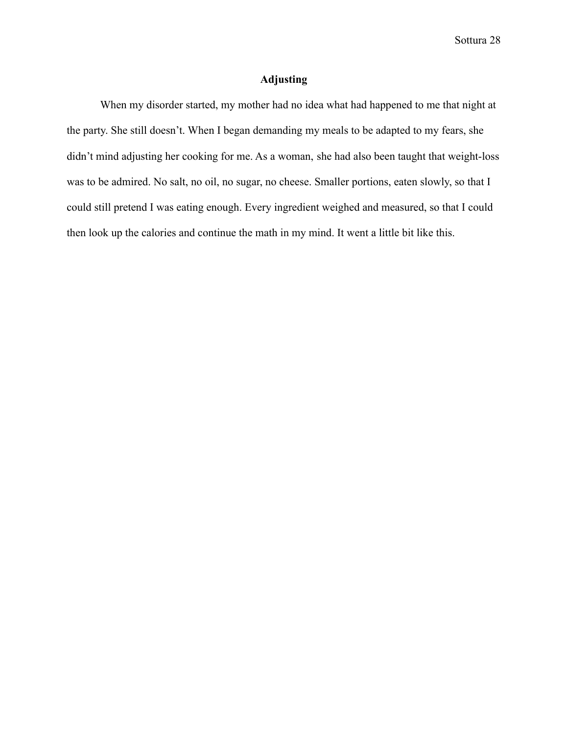### **Adjusting**

When my disorder started, my mother had no idea what had happened to me that night at the party. She still doesn't. When I began demanding my meals to be adapted to my fears, she didn't mind adjusting her cooking for me. As a woman, she had also been taught that weight-loss was to be admired. No salt, no oil, no sugar, no cheese. Smaller portions, eaten slowly, so that I could still pretend I was eating enough. Every ingredient weighed and measured, so that I could then look up the calories and continue the math in my mind. It went a little bit like this.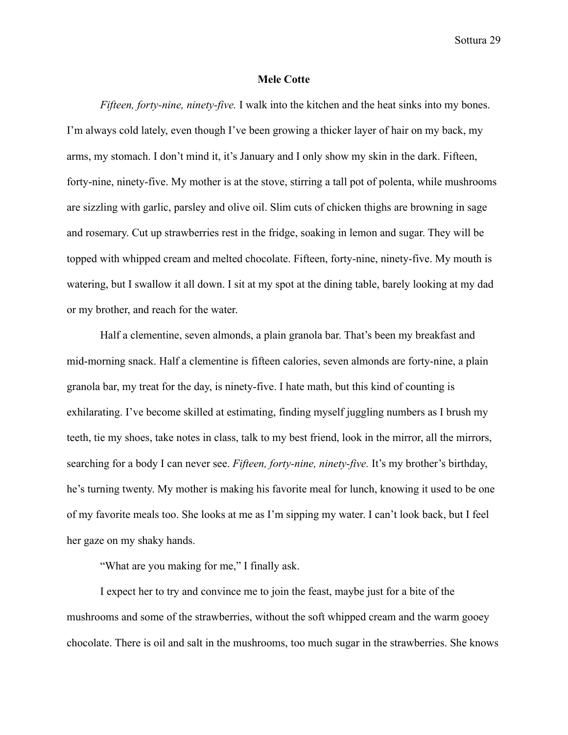#### **Mele Cotte**

*Fifteen, forty-nine, ninety-five.* I walk into the kitchen and the heat sinks into my bones. I'm always cold lately, even though I've been growing a thicker layer of hair on my back, my arms, my stomach. I don't mind it, it's January and I only show my skin in the dark. Fifteen, forty-nine, ninety-five. My mother is at the stove, stirring a tall pot of polenta, while mushrooms are sizzling with garlic, parsley and olive oil. Slim cuts of chicken thighs are browning in sage and rosemary. Cut up strawberries rest in the fridge, soaking in lemon and sugar. They will be topped with whipped cream and melted chocolate. Fifteen, forty-nine, ninety-five. My mouth is watering, but I swallow it all down. I sit at my spot at the dining table, barely looking at my dad or my brother, and reach for the water.

Half a clementine, seven almonds, a plain granola bar. That's been my breakfast and mid-morning snack. Half a clementine is fifteen calories, seven almonds are forty-nine, a plain granola bar, my treat for the day, is ninety-five. I hate math, but this kind of counting is exhilarating. I've become skilled at estimating, finding myself juggling numbers as I brush my teeth, tie my shoes, take notes in class, talk to my best friend, look in the mirror, all the mirrors, searching for a body I can never see. *Fifteen, forty-nine, ninety-five.* It's my brother's birthday, he's turning twenty. My mother is making his favorite meal for lunch, knowing it used to be one of my favorite meals too. She looks at me as I'm sipping my water. I can't look back, but I feel her gaze on my shaky hands.

"What are you making for me," I finally ask.

I expect her to try and convince me to join the feast, maybe just for a bite of the mushrooms and some of the strawberries, without the soft whipped cream and the warm gooey chocolate. There is oil and salt in the mushrooms, too much sugar in the strawberries. She knows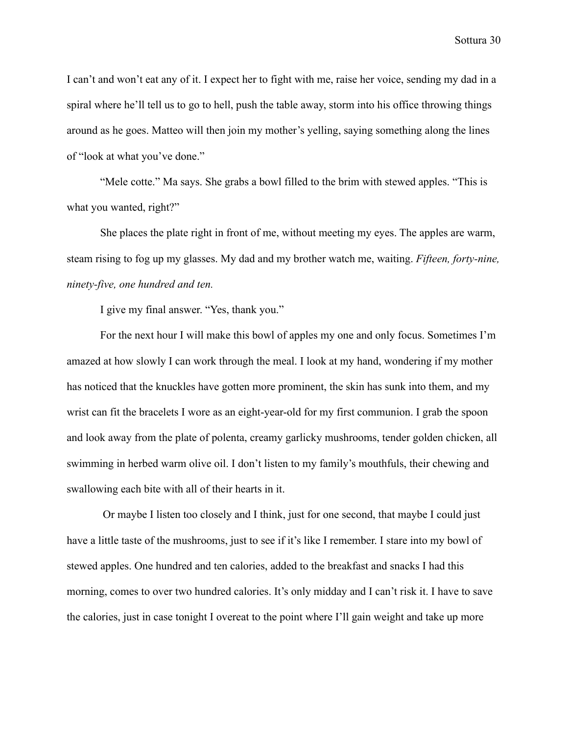I can't and won't eat any of it. I expect her to fight with me, raise her voice, sending my dad in a spiral where he'll tell us to go to hell, push the table away, storm into his office throwing things around as he goes. Matteo will then join my mother's yelling, saying something along the lines of "look at what you've done."

"Mele cotte." Ma says. She grabs a bowl filled to the brim with stewed apples. "This is what you wanted, right?"

She places the plate right in front of me, without meeting my eyes. The apples are warm, steam rising to fog up my glasses. My dad and my brother watch me, waiting. *Fifteen, forty-nine, ninety-five, one hundred and ten.*

I give my final answer. "Yes, thank you."

For the next hour I will make this bowl of apples my one and only focus. Sometimes I'm amazed at how slowly I can work through the meal. I look at my hand, wondering if my mother has noticed that the knuckles have gotten more prominent, the skin has sunk into them, and my wrist can fit the bracelets I wore as an eight-year-old for my first communion. I grab the spoon and look away from the plate of polenta, creamy garlicky mushrooms, tender golden chicken, all swimming in herbed warm olive oil. I don't listen to my family's mouthfuls, their chewing and swallowing each bite with all of their hearts in it.

Or maybe I listen too closely and I think, just for one second, that maybe I could just have a little taste of the mushrooms, just to see if it's like I remember. I stare into my bowl of stewed apples. One hundred and ten calories, added to the breakfast and snacks I had this morning, comes to over two hundred calories. It's only midday and I can't risk it. I have to save the calories, just in case tonight I overeat to the point where I'll gain weight and take up more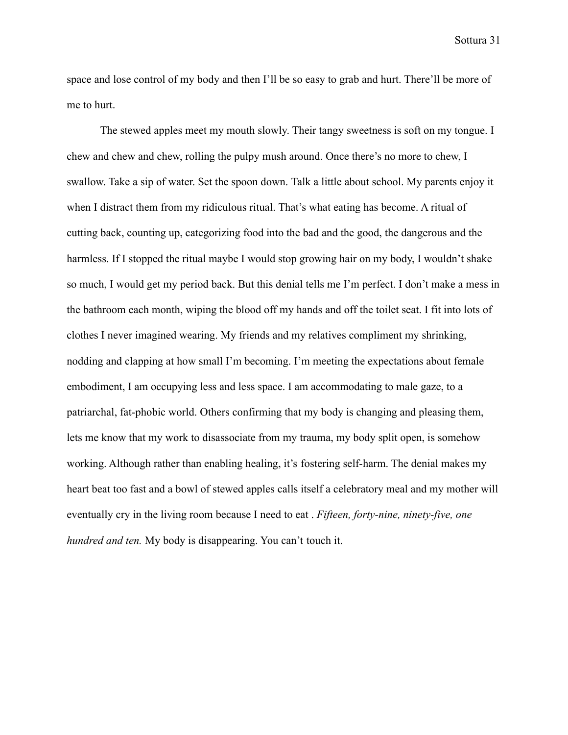space and lose control of my body and then I'll be so easy to grab and hurt. There'll be more of me to hurt.

The stewed apples meet my mouth slowly. Their tangy sweetness is soft on my tongue. I chew and chew and chew, rolling the pulpy mush around. Once there's no more to chew, I swallow. Take a sip of water. Set the spoon down. Talk a little about school. My parents enjoy it when I distract them from my ridiculous ritual. That's what eating has become. A ritual of cutting back, counting up, categorizing food into the bad and the good, the dangerous and the harmless. If I stopped the ritual maybe I would stop growing hair on my body, I wouldn't shake so much, I would get my period back. But this denial tells me I'm perfect. I don't make a mess in the bathroom each month, wiping the blood off my hands and off the toilet seat. I fit into lots of clothes I never imagined wearing. My friends and my relatives compliment my shrinking, nodding and clapping at how small I'm becoming. I'm meeting the expectations about female embodiment, I am occupying less and less space. I am accommodating to male gaze, to a patriarchal, fat-phobic world. Others confirming that my body is changing and pleasing them, lets me know that my work to disassociate from my trauma, my body split open, is somehow working. Although rather than enabling healing, it's fostering self-harm. The denial makes my heart beat too fast and a bowl of stewed apples calls itself a celebratory meal and my mother will eventually cry in the living room because I need to eat . *Fifteen, forty-nine, ninety-five, one hundred and ten.* My body is disappearing. You can't touch it.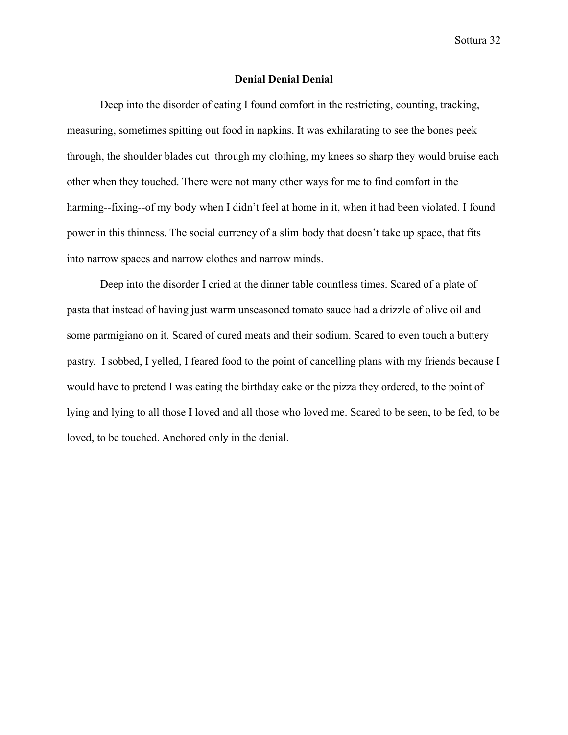#### **Denial Denial Denial**

Deep into the disorder of eating I found comfort in the restricting, counting, tracking, measuring, sometimes spitting out food in napkins. It was exhilarating to see the bones peek through, the shoulder blades cut through my clothing, my knees so sharp they would bruise each other when they touched. There were not many other ways for me to find comfort in the harming--fixing--of my body when I didn't feel at home in it, when it had been violated. I found power in this thinness. The social currency of a slim body that doesn't take up space, that fits into narrow spaces and narrow clothes and narrow minds.

Deep into the disorder I cried at the dinner table countless times. Scared of a plate of pasta that instead of having just warm unseasoned tomato sauce had a drizzle of olive oil and some parmigiano on it. Scared of cured meats and their sodium. Scared to even touch a buttery pastry. I sobbed, I yelled, I feared food to the point of cancelling plans with my friends because I would have to pretend I was eating the birthday cake or the pizza they ordered, to the point of lying and lying to all those I loved and all those who loved me. Scared to be seen, to be fed, to be loved, to be touched. Anchored only in the denial.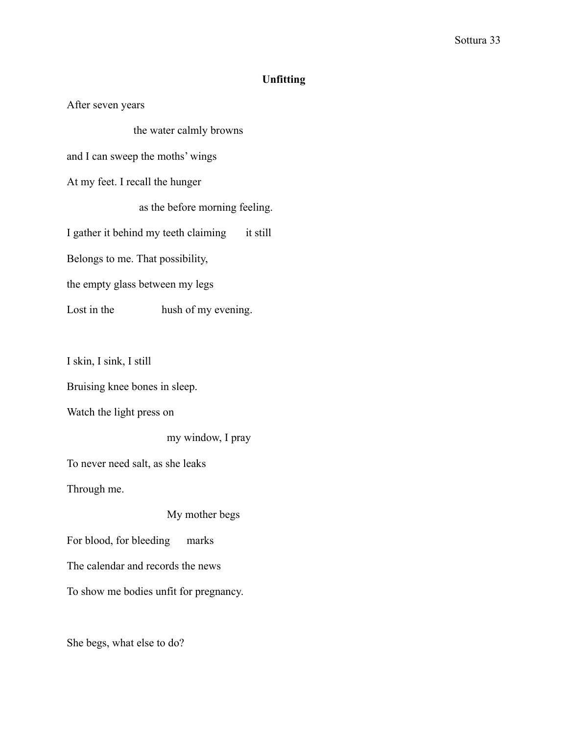## **Unfitting**

After seven years

the water calmly browns

and I can sweep the moths' wings

At my feet. I recall the hunger

as the before morning feeling.

I gather it behind my teeth claiming it still

Belongs to me. That possibility,

the empty glass between my legs

Lost in the hush of my evening.

I skin, I sink, I still

Bruising knee bones in sleep.

Watch the light press on

my window, I pray

To never need salt, as she leaks

Through me.

#### My mother begs

For blood, for bleeding marks

The calendar and records the news

To show me bodies unfit for pregnancy.

She begs, what else to do?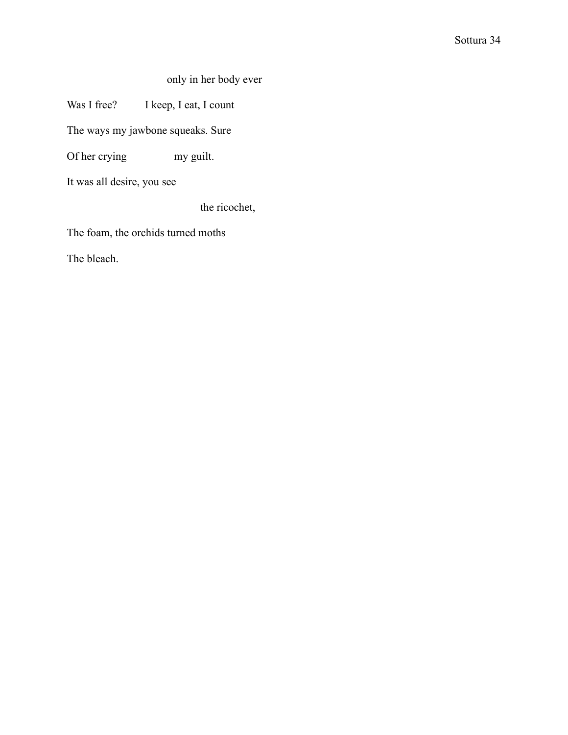only in her body ever

Was I free? I keep, I eat, I count

The ways my jawbone squeaks. Sure

Of her crying my guilt.

It was all desire, you see

the ricochet,

The foam, the orchids turned moths

The bleach.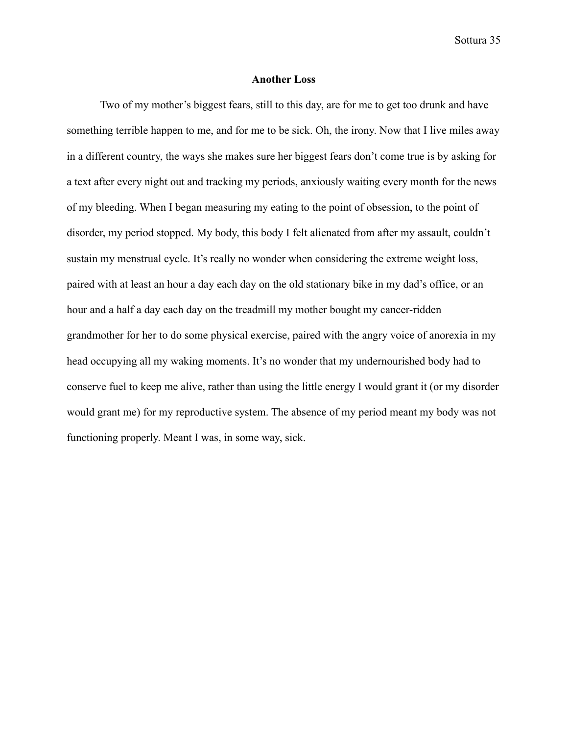#### **Another Loss**

Two of my mother's biggest fears, still to this day, are for me to get too drunk and have something terrible happen to me, and for me to be sick. Oh, the irony. Now that I live miles away in a different country, the ways she makes sure her biggest fears don't come true is by asking for a text after every night out and tracking my periods, anxiously waiting every month for the news of my bleeding. When I began measuring my eating to the point of obsession, to the point of disorder, my period stopped. My body, this body I felt alienated from after my assault, couldn't sustain my menstrual cycle. It's really no wonder when considering the extreme weight loss, paired with at least an hour a day each day on the old stationary bike in my dad's office, or an hour and a half a day each day on the treadmill my mother bought my cancer-ridden grandmother for her to do some physical exercise, paired with the angry voice of anorexia in my head occupying all my waking moments. It's no wonder that my undernourished body had to conserve fuel to keep me alive, rather than using the little energy I would grant it (or my disorder would grant me) for my reproductive system. The absence of my period meant my body was not functioning properly. Meant I was, in some way, sick.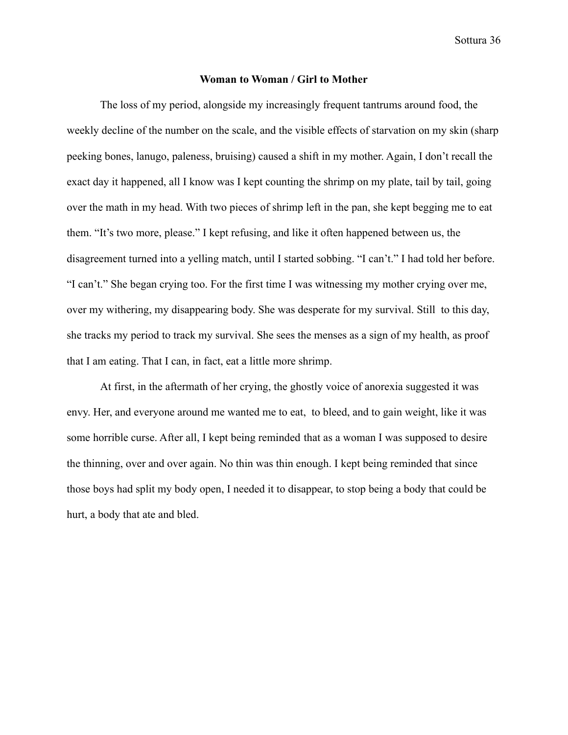#### **Woman to Woman / Girl to Mother**

The loss of my period, alongside my increasingly frequent tantrums around food, the weekly decline of the number on the scale, and the visible effects of starvation on my skin (sharp peeking bones, lanugo, paleness, bruising) caused a shift in my mother. Again, I don't recall the exact day it happened, all I know was I kept counting the shrimp on my plate, tail by tail, going over the math in my head. With two pieces of shrimp left in the pan, she kept begging me to eat them. "It's two more, please." I kept refusing, and like it often happened between us, the disagreement turned into a yelling match, until I started sobbing. "I can't." I had told her before. "I can't." She began crying too. For the first time I was witnessing my mother crying over me, over my withering, my disappearing body. She was desperate for my survival. Still to this day, she tracks my period to track my survival. She sees the menses as a sign of my health, as proof that I am eating. That I can, in fact, eat a little more shrimp.

At first, in the aftermath of her crying, the ghostly voice of anorexia suggested it was envy. Her, and everyone around me wanted me to eat, to bleed, and to gain weight, like it was some horrible curse. After all, I kept being reminded that as a woman I was supposed to desire the thinning, over and over again. No thin was thin enough. I kept being reminded that since those boys had split my body open, I needed it to disappear, to stop being a body that could be hurt, a body that ate and bled.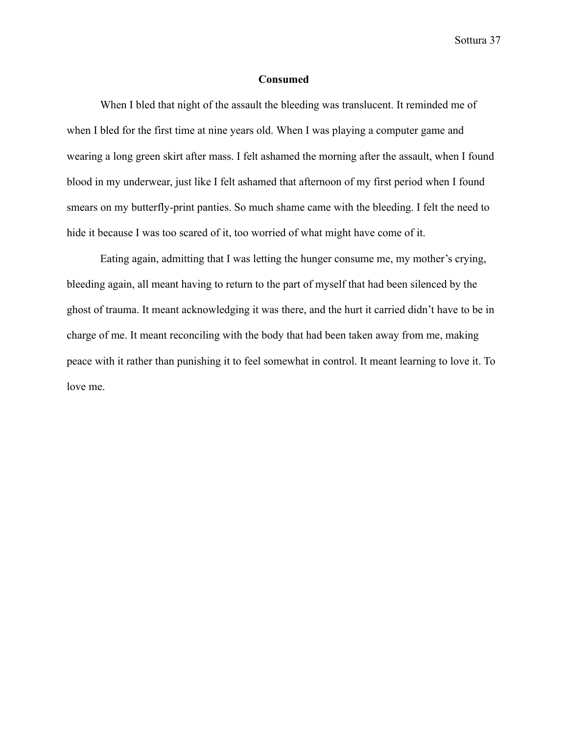#### **Consumed**

When I bled that night of the assault the bleeding was translucent. It reminded me of when I bled for the first time at nine years old. When I was playing a computer game and wearing a long green skirt after mass. I felt ashamed the morning after the assault, when I found blood in my underwear, just like I felt ashamed that afternoon of my first period when I found smears on my butterfly-print panties. So much shame came with the bleeding. I felt the need to hide it because I was too scared of it, too worried of what might have come of it.

Eating again, admitting that I was letting the hunger consume me, my mother's crying, bleeding again, all meant having to return to the part of myself that had been silenced by the ghost of trauma. It meant acknowledging it was there, and the hurt it carried didn't have to be in charge of me. It meant reconciling with the body that had been taken away from me, making peace with it rather than punishing it to feel somewhat in control. It meant learning to love it. To love me.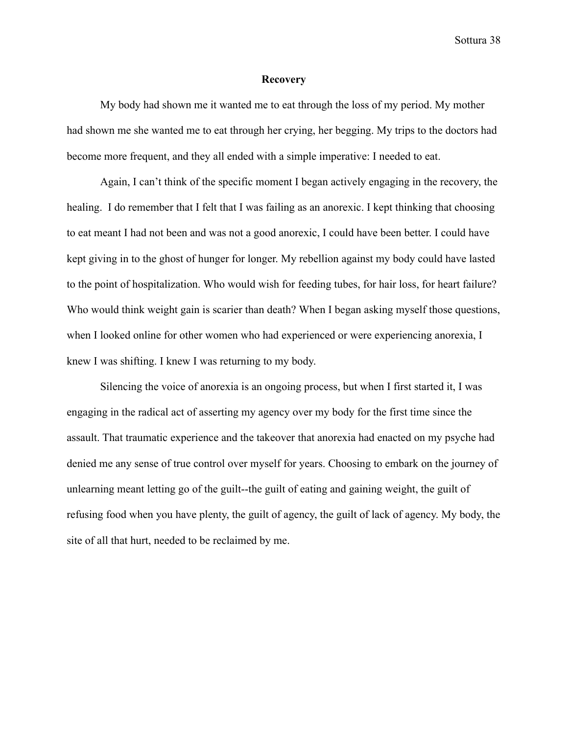#### **Recovery**

My body had shown me it wanted me to eat through the loss of my period. My mother had shown me she wanted me to eat through her crying, her begging. My trips to the doctors had become more frequent, and they all ended with a simple imperative: I needed to eat.

Again, I can't think of the specific moment I began actively engaging in the recovery, the healing. I do remember that I felt that I was failing as an anorexic. I kept thinking that choosing to eat meant I had not been and was not a good anorexic, I could have been better. I could have kept giving in to the ghost of hunger for longer. My rebellion against my body could have lasted to the point of hospitalization. Who would wish for feeding tubes, for hair loss, for heart failure? Who would think weight gain is scarier than death? When I began asking myself those questions, when I looked online for other women who had experienced or were experiencing anorexia, I knew I was shifting. I knew I was returning to my body.

Silencing the voice of anorexia is an ongoing process, but when I first started it, I was engaging in the radical act of asserting my agency over my body for the first time since the assault. That traumatic experience and the takeover that anorexia had enacted on my psyche had denied me any sense of true control over myself for years. Choosing to embark on the journey of unlearning meant letting go of the guilt--the guilt of eating and gaining weight, the guilt of refusing food when you have plenty, the guilt of agency, the guilt of lack of agency. My body, the site of all that hurt, needed to be reclaimed by me.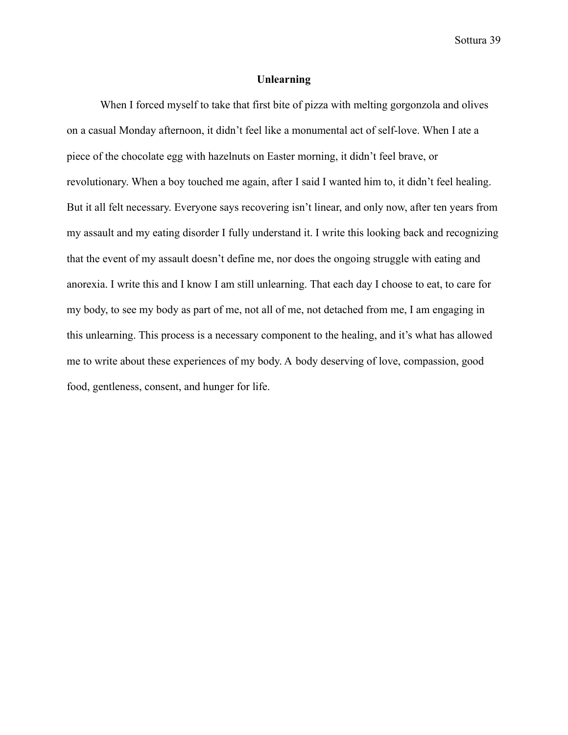#### **Unlearning**

When I forced myself to take that first bite of pizza with melting gorgonzola and olives on a casual Monday afternoon, it didn't feel like a monumental act of self-love. When I ate a piece of the chocolate egg with hazelnuts on Easter morning, it didn't feel brave, or revolutionary. When a boy touched me again, after I said I wanted him to, it didn't feel healing. But it all felt necessary. Everyone says recovering isn't linear, and only now, after ten years from my assault and my eating disorder I fully understand it. I write this looking back and recognizing that the event of my assault doesn't define me, nor does the ongoing struggle with eating and anorexia. I write this and I know I am still unlearning. That each day I choose to eat, to care for my body, to see my body as part of me, not all of me, not detached from me, I am engaging in this unlearning. This process is a necessary component to the healing, and it's what has allowed me to write about these experiences of my body. A body deserving of love, compassion, good food, gentleness, consent, and hunger for life.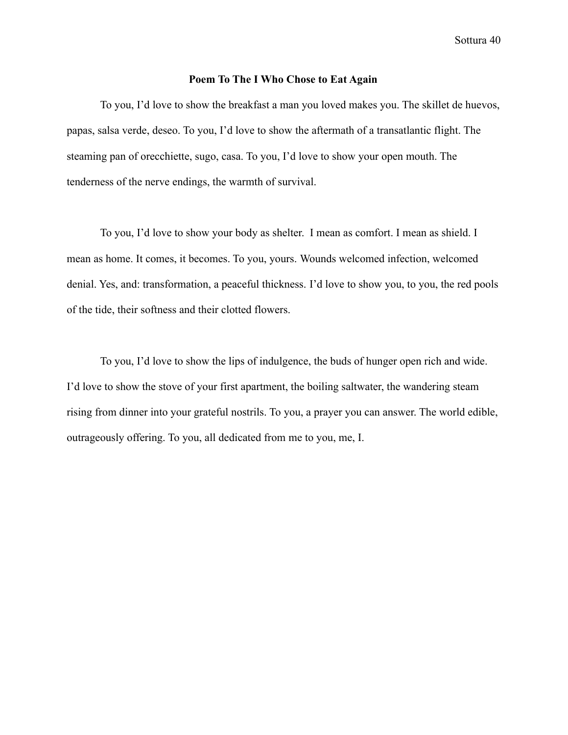#### **Poem To The I Who Chose to Eat Again**

To you, I'd love to show the breakfast a man you loved makes you. The skillet de huevos, papas, salsa verde, deseo. To you, I'd love to show the aftermath of a transatlantic flight. The steaming pan of orecchiette, sugo, casa. To you, I'd love to show your open mouth. The tenderness of the nerve endings, the warmth of survival.

To you, I'd love to show your body as shelter. I mean as comfort. I mean as shield. I mean as home. It comes, it becomes. To you, yours. Wounds welcomed infection, welcomed denial. Yes, and: transformation, a peaceful thickness. I'd love to show you, to you, the red pools of the tide, their softness and their clotted flowers.

To you, I'd love to show the lips of indulgence, the buds of hunger open rich and wide. I'd love to show the stove of your first apartment, the boiling saltwater, the wandering steam rising from dinner into your grateful nostrils. To you, a prayer you can answer. The world edible, outrageously offering. To you, all dedicated from me to you, me, I.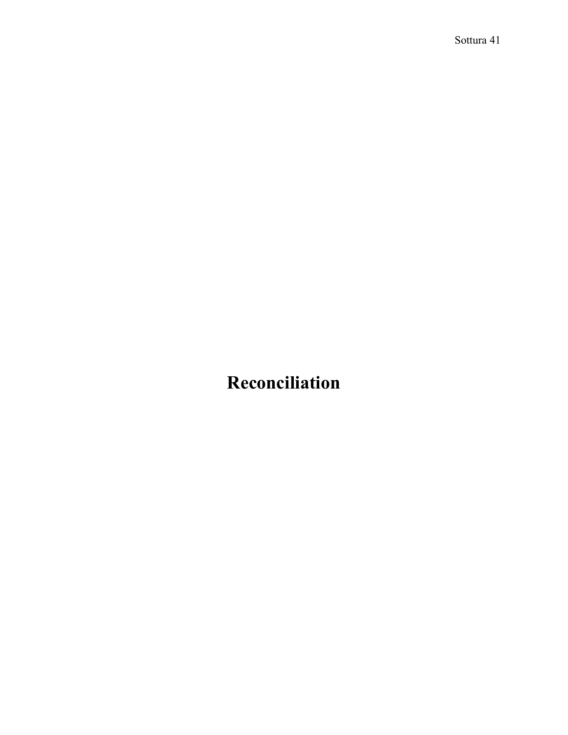## **Reconciliation**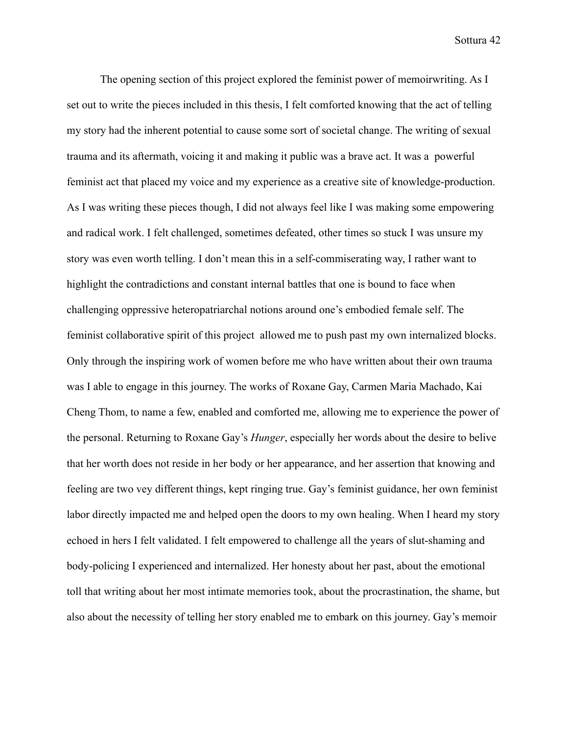The opening section of this project explored the feminist power of memoirwriting. As I set out to write the pieces included in this thesis, I felt comforted knowing that the act of telling my story had the inherent potential to cause some sort of societal change. The writing of sexual trauma and its aftermath, voicing it and making it public was a brave act. It was a powerful feminist act that placed my voice and my experience as a creative site of knowledge-production. As I was writing these pieces though, I did not always feel like I was making some empowering and radical work. I felt challenged, sometimes defeated, other times so stuck I was unsure my story was even worth telling. I don't mean this in a self-commiserating way, I rather want to highlight the contradictions and constant internal battles that one is bound to face when challenging oppressive heteropatriarchal notions around one's embodied female self. The feminist collaborative spirit of this project allowed me to push past my own internalized blocks. Only through the inspiring work of women before me who have written about their own trauma was I able to engage in this journey. The works of Roxane Gay, Carmen Maria Machado, Kai Cheng Thom, to name a few, enabled and comforted me, allowing me to experience the power of the personal. Returning to Roxane Gay's *Hunger*, especially her words about the desire to belive that her worth does not reside in her body or her appearance, and her assertion that knowing and feeling are two vey different things, kept ringing true. Gay's feminist guidance, her own feminist labor directly impacted me and helped open the doors to my own healing. When I heard my story echoed in hers I felt validated. I felt empowered to challenge all the years of slut-shaming and body-policing I experienced and internalized. Her honesty about her past, about the emotional toll that writing about her most intimate memories took, about the procrastination, the shame, but also about the necessity of telling her story enabled me to embark on this journey. Gay's memoir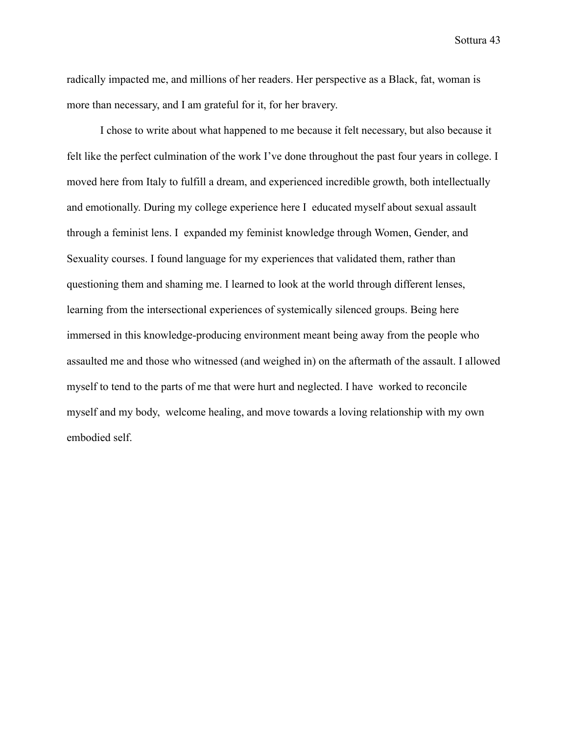radically impacted me, and millions of her readers. Her perspective as a Black, fat, woman is more than necessary, and I am grateful for it, for her bravery.

I chose to write about what happened to me because it felt necessary, but also because it felt like the perfect culmination of the work I've done throughout the past four years in college. I moved here from Italy to fulfill a dream, and experienced incredible growth, both intellectually and emotionally. During my college experience here I educated myself about sexual assault through a feminist lens. I expanded my feminist knowledge through Women, Gender, and Sexuality courses. I found language for my experiences that validated them, rather than questioning them and shaming me. I learned to look at the world through different lenses, learning from the intersectional experiences of systemically silenced groups. Being here immersed in this knowledge-producing environment meant being away from the people who assaulted me and those who witnessed (and weighed in) on the aftermath of the assault. I allowed myself to tend to the parts of me that were hurt and neglected. I have worked to reconcile myself and my body, welcome healing, and move towards a loving relationship with my own embodied self.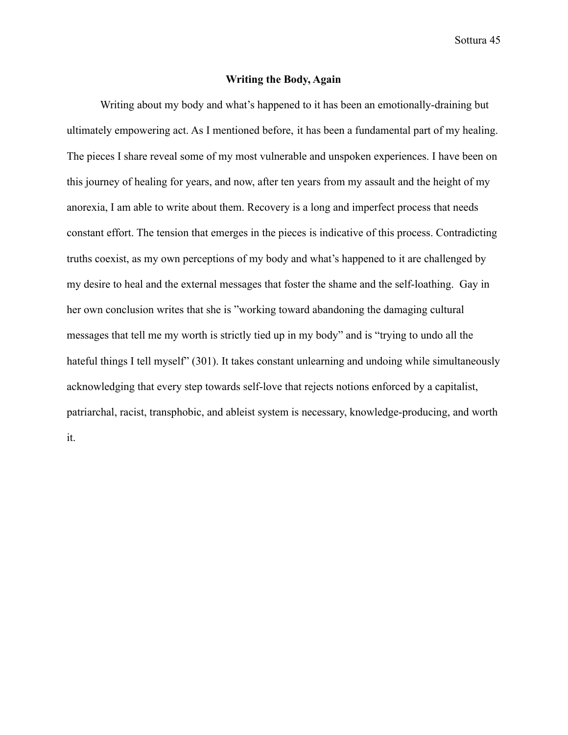#### **Writing the Body, Again**

Writing about my body and what's happened to it has been an emotionally-draining but ultimately empowering act. As I mentioned before, it has been a fundamental part of my healing. The pieces I share reveal some of my most vulnerable and unspoken experiences. I have been on this journey of healing for years, and now, after ten years from my assault and the height of my anorexia, I am able to write about them. Recovery is a long and imperfect process that needs constant effort. The tension that emerges in the pieces is indicative of this process. Contradicting truths coexist, as my own perceptions of my body and what's happened to it are challenged by my desire to heal and the external messages that foster the shame and the self-loathing. Gay in her own conclusion writes that she is "working toward abandoning the damaging cultural messages that tell me my worth is strictly tied up in my body" and is "trying to undo all the hateful things I tell myself" (301). It takes constant unlearning and undoing while simultaneously acknowledging that every step towards self-love that rejects notions enforced by a capitalist, patriarchal, racist, transphobic, and ableist system is necessary, knowledge-producing, and worth it.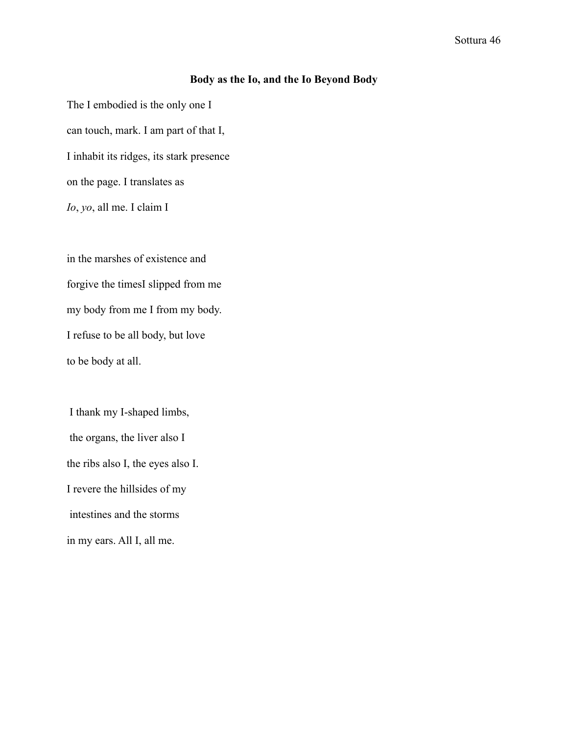### **Body as the Io, and the Io Beyond Body**

The I embodied is the only one I can touch, mark. I am part of that I, I inhabit its ridges, its stark presence on the page. I translates as *Io*, *yo*, all me. I claim I

in the marshes of existence and forgive the timesI slipped from me my body from me I from my body. I refuse to be all body, but love to be body at all.

I thank my I-shaped limbs, the organs, the liver also I the ribs also I, the eyes also I. I revere the hillsides of my intestines and the storms in my ears. All I, all me.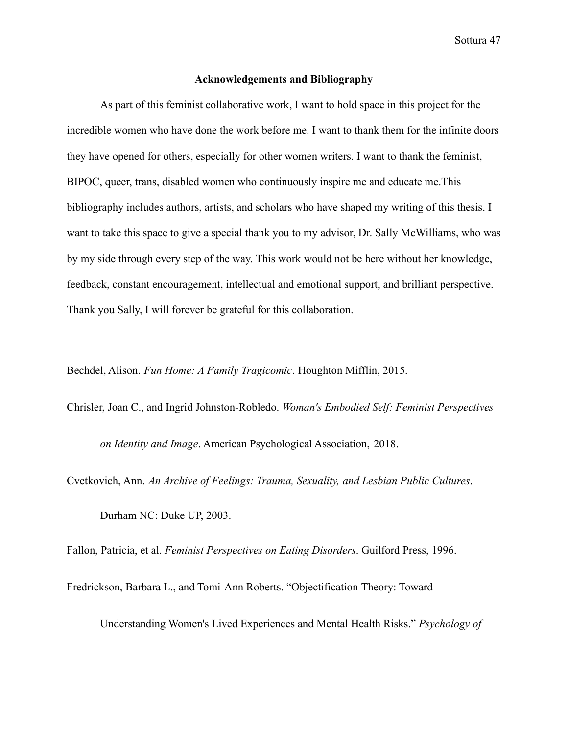#### **Acknowledgements and Bibliography**

As part of this feminist collaborative work, I want to hold space in this project for the incredible women who have done the work before me. I want to thank them for the infinite doors they have opened for others, especially for other women writers. I want to thank the feminist, BIPOC, queer, trans, disabled women who continuously inspire me and educate me.This bibliography includes authors, artists, and scholars who have shaped my writing of this thesis. I want to take this space to give a special thank you to my advisor, Dr. Sally McWilliams, who was by my side through every step of the way. This work would not be here without her knowledge, feedback, constant encouragement, intellectual and emotional support, and brilliant perspective. Thank you Sally, I will forever be grateful for this collaboration.

Bechdel, Alison. *Fun Home: A Family Tragicomic*. Houghton Mifflin, 2015.

Chrisler, Joan C., and Ingrid Johnston-Robledo. *Woman's Embodied Self: Feminist Perspectives*

*on Identity and Image*. American Psychological Association, 2018.

Cvetkovich, Ann. *An Archive of Feelings: Trauma, Sexuality, and Lesbian Public Cultures*.

Durham NC: Duke UP, 2003.

Fallon, Patricia, et al. *Feminist Perspectives on Eating Disorders*. Guilford Press, 1996.

Fredrickson, Barbara L., and Tomi-Ann Roberts. "Objectification Theory: Toward

Understanding Women's Lived Experiences and Mental Health Risks." *Psychology of*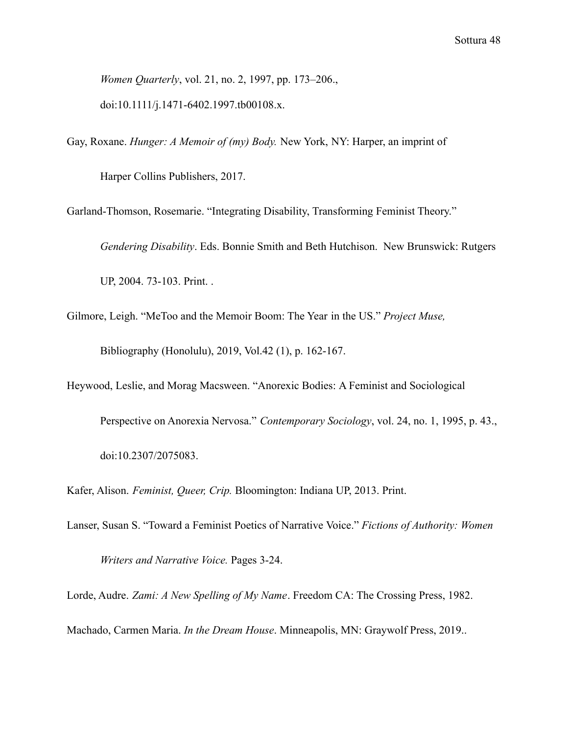*Women Quarterly*, vol. 21, no. 2, 1997, pp. 173–206., doi:10.1111/j.1471-6402.1997.tb00108.x.

Gay, Roxane. *Hunger: A Memoir of (my) Body.* New York, NY: Harper, an imprint of

Harper Collins Publishers, 2017.

Garland-Thomson, Rosemarie. "Integrating Disability, Transforming Feminist Theory."

*Gendering Disability*. Eds. Bonnie Smith and Beth Hutchison. New Brunswick: Rutgers UP, 2004. 73-103. Print. .

- Gilmore, Leigh. "MeToo and the Memoir Boom: The Year in the US." *Project Muse,* Bibliography (Honolulu), 2019, Vol.42 (1), p. 162-167.
- Heywood, Leslie, and Morag Macsween. "Anorexic Bodies: A Feminist and Sociological Perspective on Anorexia Nervosa." *Contemporary Sociology*, vol. 24, no. 1, 1995, p. 43., doi:10.2307/2075083.

Kafer, Alison. *Feminist, Queer, Crip.* Bloomington: Indiana UP, 2013. Print.

Lanser, Susan S. "Toward a Feminist Poetics of Narrative Voice." *Fictions of Authority: Women Writers and Narrative Voice.* Pages 3-24.

Lorde, Audre. *Zami: A New Spelling of My Name*. Freedom CA: The Crossing Press, 1982. Machado, Carmen Maria. *In the Dream House*. Minneapolis, MN: Graywolf Press, 2019..